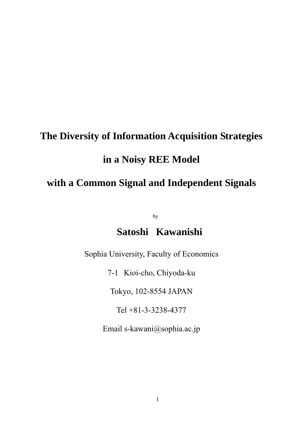# **The Diversity of Information Acquisition Strategies in a Noisy REE Model with a Common Signal and Independent Signals**

by

# **Satoshi Kawanishi**

Sophia University, Faculty of Economics

7-1 Kioi-cho, Chiyoda-ku

Tokyo, 102-8554 JAPAN

Tel +81-3-3238-4377

Email s-kawani@sophia.ac.jp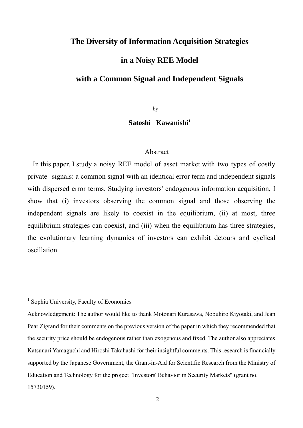# **The Diversity of Information Acquisition Strategies**

# **in a Noisy REE Model**

# **with a Common Signal and Independent Signals**

by

#### Satoshi Kawanishi<sup>1</sup>

#### Abstract

 In this paper, I study a noisy REE model of asset market with two types of costly private signals: a common signal with an identical error term and independent signals with dispersed error terms. Studying investors' endogenous information acquisition, I show that (i) investors observing the common signal and those observing the independent signals are likely to coexist in the equilibrium, (ii) at most, three equilibrium strategies can coexist, and (iii) when the equilibrium has three strategies, the evolutionary learning dynamics of investors can exhibit detours and cyclical oscillation.

<sup>1</sup> Sophia University, Faculty of Economics

Acknowledgement: The author would like to thank Motonari Kurasawa, Nobuhiro Kiyotaki, and Jean Pear Zigrand for their comments on the previous version of the paper in which they recommended that the security price should be endogenous rather than exogenous and fixed. The author also appreciates Katsunari Yamaguchi and Hiroshi Takahashi for their insightful comments. This research is financially supported by the Japanese Government, the Grant-in-Aid for Scientific Research from the Ministry of Education and Technology for the project "Investors' Behavior in Security Markets" (grant no. 15730159).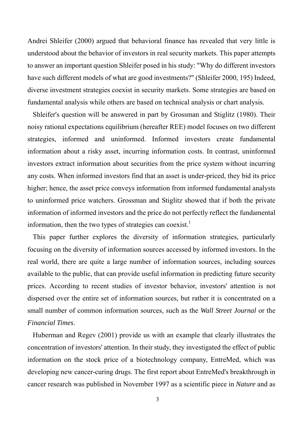Andrei Shleifer (2000) argued that behavioral finance has revealed that very little is understood about the behavior of investors in real security markets. This paper attempts to answer an important question Shleifer posed in his study: "Why do different investors have such different models of what are good investments?" (Shleifer 2000, 195) Indeed, diverse investment strategies coexist in security markets. Some strategies are based on fundamental analysis while others are based on technical analysis or chart analysis.

 Shleifer's question will be answered in part by Grossman and Stiglitz (1980). Their noisy rational expectations equilibrium (hereafter REE) model focuses on two different strategies, informed and uninformed. Informed investors create fundamental information about a risky asset, incurring information costs. In contrast, uninformed investors extract information about securities from the price system without incurring any costs. When informed investors find that an asset is under-priced, they bid its price higher; hence, the asset price conveys information from informed fundamental analysts to uninformed price watchers. Grossman and Stiglitz showed that if both the private information of informed investors and the price do not perfectly reflect the fundamental information, then the two types of strategies can coexist.<sup>1</sup>

 This paper further explores the diversity of information strategies, particularly focusing on the diversity of information sources accessed by informed investors. In the real world, there are quite a large number of information sources, including sources available to the public, that can provide useful information in predicting future security prices. According to recent studies of investor behavior, investors' attention is not dispersed over the entire set of information sources, but rather it is concentrated on a small number of common information sources, such as the *Wall Street Journal* or the *Financial Times*.

 Huberman and Regev (2001) provide us with an example that clearly illustrates the concentration of investors' attention. In their study, they investigated the effect of public information on the stock price of a biotechnology company, EntreMed, which was developing new cancer-curing drugs. The first report about EntreMed's breakthrough in cancer research was published in November 1997 as a scientific piece in *Nature* and as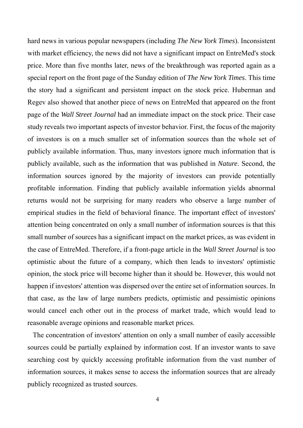hard news in various popular newspapers (including *The New York Times*). Inconsistent with market efficiency, the news did not have a significant impact on EntreMed's stock price. More than five months later, news of the breakthrough was reported again as a special report on the front page of the Sunday edition of *The New York Times*. This time the story had a significant and persistent impact on the stock price. Huberman and Regev also showed that another piece of news on EntreMed that appeared on the front page of the *Wall Street Journal* had an immediate impact on the stock price. Their case study reveals two important aspects of investor behavior. First, the focus of the majority of investors is on a much smaller set of information sources than the whole set of publicly available information. Thus, many investors ignore much information that is publicly available, such as the information that was published in *Nature*. Second, the information sources ignored by the majority of investors can provide potentially profitable information. Finding that publicly available information yields abnormal returns would not be surprising for many readers who observe a large number of empirical studies in the field of behavioral finance. The important effect of investors' attention being concentrated on only a small number of information sources is that this small number of sources has a significant impact on the market prices, as was evident in the case of EntreMed. Therefore, if a front-page article in the *Wall Street Journal* is too optimistic about the future of a company, which then leads to investors' optimistic opinion, the stock price will become higher than it should be. However, this would not happen if investors' attention was dispersed over the entire set of information sources. In that case, as the law of large numbers predicts, optimistic and pessimistic opinions would cancel each other out in the process of market trade, which would lead to reasonable average opinions and reasonable market prices.

 The concentration of investors' attention on only a small number of easily accessible sources could be partially explained by information cost. If an investor wants to save searching cost by quickly accessing profitable information from the vast number of information sources, it makes sense to access the information sources that are already publicly recognized as trusted sources.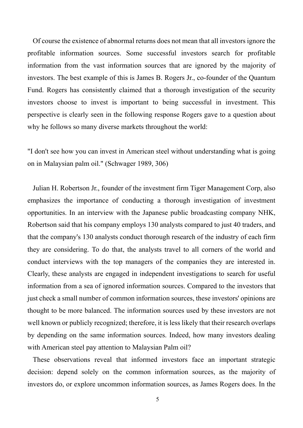Of course the existence of abnormal returns does not mean that all investors ignore the profitable information sources. Some successful investors search for profitable information from the vast information sources that are ignored by the majority of investors. The best example of this is James B. Rogers Jr., co-founder of the Quantum Fund. Rogers has consistently claimed that a thorough investigation of the security investors choose to invest is important to being successful in investment. This perspective is clearly seen in the following response Rogers gave to a question about why he follows so many diverse markets throughout the world:

"I don't see how you can invest in American steel without understanding what is going on in Malaysian palm oil." (Schwager 1989, 306)

 Julian H. Robertson Jr., founder of the investment firm Tiger Management Corp, also emphasizes the importance of conducting a thorough investigation of investment opportunities. In an interview with the Japanese public broadcasting company NHK, Robertson said that his company employs 130 analysts compared to just 40 traders, and that the company's 130 analysts conduct thorough research of the industry of each firm they are considering. To do that, the analysts travel to all corners of the world and conduct interviews with the top managers of the companies they are interested in. Clearly, these analysts are engaged in independent investigations to search for useful information from a sea of ignored information sources. Compared to the investors that just check a small number of common information sources, these investors' opinions are thought to be more balanced. The information sources used by these investors are not well known or publicly recognized; therefore, it is less likely that their research overlaps by depending on the same information sources. Indeed, how many investors dealing with American steel pay attention to Malaysian Palm oil?

 These observations reveal that informed investors face an important strategic decision: depend solely on the common information sources, as the majority of investors do, or explore uncommon information sources, as James Rogers does. In the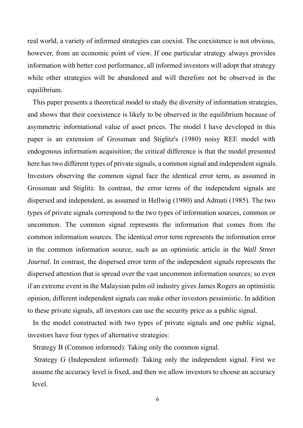real world, a variety of informed strategies can coexist. The coexistence is not obvious, however, from an economic point of view. If one particular strategy always provides information with better cost performance, all informed investors will adopt that strategy while other strategies will be abandoned and will therefore not be observed in the equilibrium.

 This paper presents a theoretical model to study the diversity of information strategies, and shows that their coexistence is likely to be observed in the equilibrium because of asymmetric informational value of asset prices. The model I have developed in this paper is an extension of Grossman and Stiglitz's (1980) noisy REE model with endogenous information acquisition; the critical difference is that the model presented here has two different types of private signals, a common signal and independent signals. Investors observing the common signal face the identical error term, as assumed in Grossman and Stiglitz. In contrast, the error terms of the independent signals are dispersed and independent, as assumed in Hellwig (1980) and Admati (1985). The two types of private signals correspond to the two types of information sources, common or uncommon. The common signal represents the information that comes from the common information sources. The identical error term represents the information error in the common information source, such as an optimistic article in the *Wall Street Journal*. In contrast, the dispersed error term of the independent signals represents the dispersed attention that is spread over the vast uncommon information sources; so even if an extreme event in the Malaysian palm oil industry gives James Rogers an optimistic opinion, different independent signals can make other investors pessimistic. In addition to these private signals, all investors can use the security price as a public signal.

 In the model constructed with two types of private signals and one public signal, investors have four types of alternative strategies:

Strategy B (Common informed): Taking only the common signal.

 Strategy G (Independent informed): Taking only the independent signal. First we assume the accuracy level is fixed, and then we allow investors to choose an accuracy level.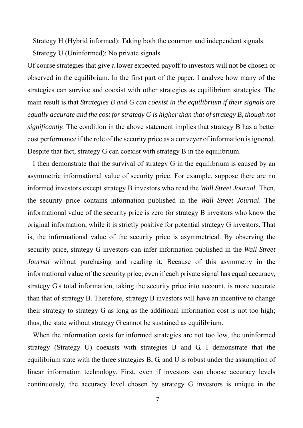Strategy H (Hybrid informed): Taking both the common and independent signals. Strategy U (Uninformed): No private signals.

Of course strategies that give a lower expected payoff to investors will not be chosen or observed in the equilibrium. In the first part of the paper, I analyze how many of the strategies can survive and coexist with other strategies as equilibrium strategies. The main result is that *Strategies B and G can coexist in the equilibrium if their signals are equally accurate and the cost for strategy G is higher than that of strategy B, though not significantly.* The condition in the above statement implies that strategy B has a better cost performance if the role of the security price as a conveyer of information is ignored. Despite that fact, strategy G can coexist with strategy B in the equilibrium.

 I then demonstrate that the survival of strategy G in the equilibrium is caused by an asymmetric informational value of security price. For example, suppose there are no informed investors except strategy B investors who read the *Wall Street Journal*. Then, the security price contains information published in the *Wall Street Journal*. The informational value of the security price is zero for strategy B investors who know the original information, while it is strictly positive for potential strategy G investors. That is, the informational value of the security price is asymmetrical. By observing the security price, strategy G investors can infer information published in the *Wall Street Journal* without purchasing and reading it. Because of this asymmetry in the informational value of the security price, even if each private signal has equal accuracy, strategy G's total information, taking the security price into account, is more accurate than that of strategy B. Therefore, strategy B investors will have an incentive to change their strategy to strategy G as long as the additional information cost is not too high; thus, the state without strategy G cannot be sustained as equilibrium.

 When the information costs for informed strategies are not too low, the uninformed strategy (Strategy U) coexists with strategies B and G. I demonstrate that the equilibrium state with the three strategies B, G, and U is robust under the assumption of linear information technology. First, even if investors can choose accuracy levels continuously, the accuracy level chosen by strategy G investors is unique in the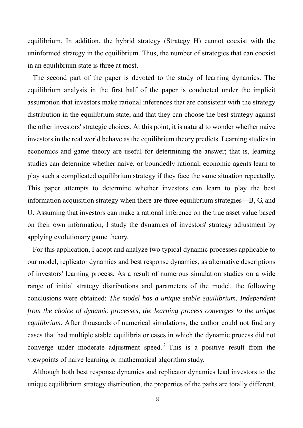equilibrium. In addition, the hybrid strategy (Strategy H) cannot coexist with the uninformed strategy in the equilibrium. Thus, the number of strategies that can coexist in an equilibrium state is three at most.

 The second part of the paper is devoted to the study of learning dynamics. The equilibrium analysis in the first half of the paper is conducted under the implicit assumption that investors make rational inferences that are consistent with the strategy distribution in the equilibrium state, and that they can choose the best strategy against the other investors' strategic choices. At this point, it is natural to wonder whether naive investors in the real world behave as the equilibrium theory predicts. Learning studies in economics and game theory are useful for determining the answer; that is, learning studies can determine whether naive, or boundedly rational, economic agents learn to play such a complicated equilibrium strategy if they face the same situation repeatedly. This paper attempts to determine whether investors can learn to play the best information acquisition strategy when there are three equilibrium strategies—B, G, and U. Assuming that investors can make a rational inference on the true asset value based on their own information, I study the dynamics of investors' strategy adjustment by applying evolutionary game theory.

 For this application, I adopt and analyze two typical dynamic processes applicable to our model, replicator dynamics and best response dynamics, as alternative descriptions of investors' learning process. As a result of numerous simulation studies on a wide range of initial strategy distributions and parameters of the model, the following conclusions were obtained: *The model has a unique stable equilibrium. Independent from the choice of dynamic processes, the learning process converges to the unique equilibrium.* After thousands of numerical simulations, the author could not find any cases that had multiple stable equilibria or cases in which the dynamic process did not converge under moderate adjustment speed.<sup>2</sup> This is a positive result from the viewpoints of naive learning or mathematical algorithm study.

 Although both best response dynamics and replicator dynamics lead investors to the unique equilibrium strategy distribution, the properties of the paths are totally different.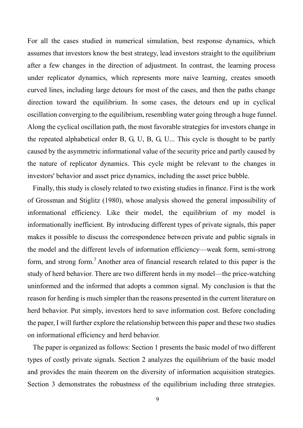For all the cases studied in numerical simulation, best response dynamics, which assumes that investors know the best strategy, lead investors straight to the equilibrium after a few changes in the direction of adjustment. In contrast, the learning process under replicator dynamics, which represents more naive learning, creates smooth curved lines, including large detours for most of the cases, and then the paths change direction toward the equilibrium. In some cases, the detours end up in cyclical oscillation converging to the equilibrium, resembling water going through a huge funnel. Along the cyclical oscillation path, the most favorable strategies for investors change in the repeated alphabetical order B, G, U, B, G, U... This cycle is thought to be partly caused by the asymmetric informational value of the security price and partly caused by the nature of replicator dynamics. This cycle might be relevant to the changes in investors' behavior and asset price dynamics, including the asset price bubble.

 Finally, this study is closely related to two existing studies in finance. First is the work of Grossman and Stiglitz (1980), whose analysis showed the general impossibility of informational efficiency. Like their model, the equilibrium of my model is informationally inefficient. By introducing different types of private signals, this paper makes it possible to discuss the correspondence between private and public signals in the model and the different levels of information efficiency—weak form, semi-strong form, and strong form.<sup>3</sup> Another area of financial research related to this paper is the study of herd behavior. There are two different herds in my model—the price-watching uninformed and the informed that adopts a common signal. My conclusion is that the reason for herding is much simpler than the reasons presented in the current literature on herd behavior. Put simply, investors herd to save information cost. Before concluding the paper, I will further explore the relationship between this paper and these two studies on informational efficiency and herd behavior.

 The paper is organized as follows: Section 1 presents the basic model of two different types of costly private signals. Section 2 analyzes the equilibrium of the basic model and provides the main theorem on the diversity of information acquisition strategies. Section 3 demonstrates the robustness of the equilibrium including three strategies.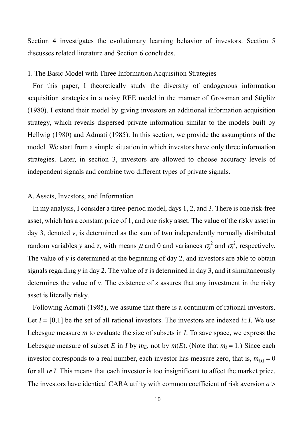Section 4 investigates the evolutionary learning behavior of investors. Section 5 discusses related literature and Section 6 concludes.

#### 1. The Basic Model with Three Information Acquisition Strategies

 For this paper, I theoretically study the diversity of endogenous information acquisition strategies in a noisy REE model in the manner of Grossman and Stiglitz (1980). I extend their model by giving investors an additional information acquisition strategy, which reveals dispersed private information similar to the models built by Hellwig (1980) and Admati (1985). In this section, we provide the assumptions of the model. We start from a simple situation in which investors have only three information strategies. Later, in section 3, investors are allowed to choose accuracy levels of independent signals and combine two different types of private signals.

#### A. Assets, Investors, and Information

 In my analysis, I consider a three-period model, days 1, 2, and 3. There is one risk-free asset, which has a constant price of 1, and one risky asset. The value of the risky asset in day 3, denoted *v*, is determined as the sum of two independently normally distributed random variables *y* and *z*, with means  $\mu$  and 0 and variances  $\sigma_y^2$  and  $\sigma_z^2$ , respectively. The value of *y* is determined at the beginning of day 2, and investors are able to obtain signals regarding *y* in day 2. The value of *z* is determined in day 3, and it simultaneously determines the value of *v*. The existence of *z* assures that any investment in the risky asset is literally risky.

 Following Admati (1985), we assume that there is a continuum of rational investors. Let  $I = [0,1]$  be the set of all rational investors. The investors are indexed  $i \in I$ . We use Lebesgue measure *m* to evaluate the size of subsets in *I*. To save space, we express the Lebesgue measure of subset *E* in *I* by  $m_E$ , not by  $m(E)$ . (Note that  $m_I = 1$ .) Since each investor corresponds to a real number, each investor has measure zero, that is,  $m_{\{i\}} = 0$ for all *i*∈*I*. This means that each investor is too insignificant to affect the market price. The investors have identical CARA utility with common coefficient of risk aversion *a* >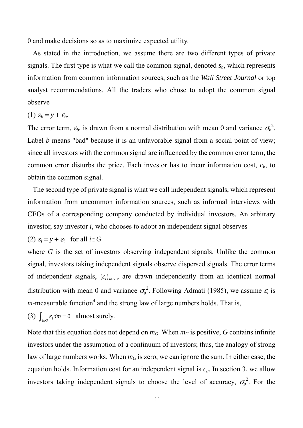0 and make decisions so as to maximize expected utility.

 As stated in the introduction, we assume there are two different types of private signals. The first type is what we call the common signal, denoted  $s<sub>b</sub>$ , which represents information from common information sources, such as the *Wall Street Journal* or top analyst recommendations. All the traders who chose to adopt the common signal observe

(1)  $s_b = y + \varepsilon_b$ .

The error term,  $\varepsilon_b$ , is drawn from a normal distribution with mean 0 and variance  $\sigma_b^2$ . Label *b* means "bad" because it is an unfavorable signal from a social point of view; since all investors with the common signal are influenced by the common error term, the common error disturbs the price. Each investor has to incur information cost,  $c<sub>b</sub>$ , to obtain the common signal.

 The second type of private signal is what we call independent signals, which represent information from uncommon information sources, such as informal interviews with CEOs of a corresponding company conducted by individual investors. An arbitrary investor, say investor *i*, who chooses to adopt an independent signal observes

(2)  $s_i = y + \varepsilon_i$  for all  $i \in G$ 

where *G* is the set of investors observing independent signals. Unlike the common signal, investors taking independent signals observe dispersed signals. The error terms of independent signals,  $\{\varepsilon_i\}_{i \in G}$ , are drawn independently from an identical normal distribution with mean 0 and variance  $\sigma_{g}^{2}$ . Following Admati (1985), we assume  $\varepsilon_{i}$  is *m*-measurable function<sup>4</sup> and the strong law of large numbers holds. That is,

(3) 
$$
\int_{i \in G} \varepsilon_i dm = 0
$$
 almost surely.

Note that this equation does not depend on  $m_G$ . When  $m_G$  is positive, *G* contains infinite investors under the assumption of a continuum of investors; thus, the analogy of strong law of large numbers works. When  $m<sub>G</sub>$  is zero, we can ignore the sum. In either case, the equation holds. Information cost for an independent signal is  $c_g$ . In section 3, we allow investors taking independent signals to choose the level of accuracy,  $\sigma_{g}^{2}$ . For the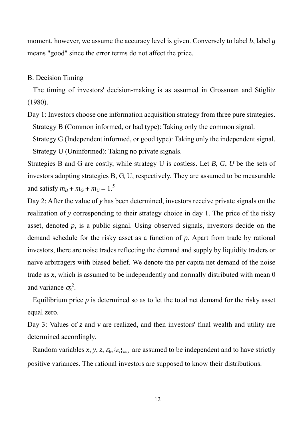moment, however, we assume the accuracy level is given. Conversely to label *b*, label *g* means "good" since the error terms do not affect the price.

#### B. Decision Timing

 The timing of investors' decision-making is as assumed in Grossman and Stiglitz (1980).

Day 1: Investors choose one information acquisition strategy from three pure strategies. Strategy B (Common informed, or bad type): Taking only the common signal.

 Strategy G (Independent informed, or good type): Taking only the independent signal. Strategy U (Uninformed): Taking no private signals.

Strategies B and G are costly, while strategy U is costless. Let *B*, *G*, *U* be the sets of investors adopting strategies B, G, U, respectively. They are assumed to be measurable and satisfy  $m_B + m_G + m_U = 1$ .<sup>5</sup>

Day 2: After the value of *y* has been determined, investors receive private signals on the realization of *y* corresponding to their strategy choice in day 1. The price of the risky asset, denoted *p*, is a public signal. Using observed signals, investors decide on the demand schedule for the risky asset as a function of *p*. Apart from trade by rational investors, there are noise trades reflecting the demand and supply by liquidity traders or naive arbitragers with biased belief. We denote the per capita net demand of the noise trade as *x*, which is assumed to be independently and normally distributed with mean 0 and variance  $\sigma_{x}^{2}$ .

Equilibrium price  $p$  is determined so as to let the total net demand for the risky asset equal zero.

Day 3: Values of *z* and *v* are realized, and then investors' final wealth and utility are determined accordingly.

Random variables *x*, *y*, *z*,  $\epsilon_{b}$ ,  $\{\epsilon_{i}\}_{i \in G}$  are assumed to be independent and to have strictly positive variances. The rational investors are supposed to know their distributions.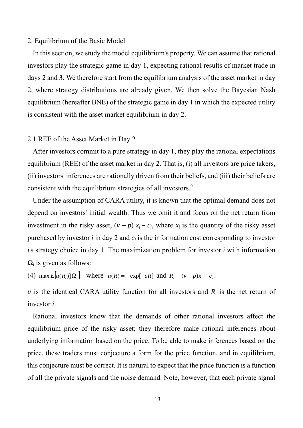#### 2. Equilibrium of the Basic Model

 In this section, we study the model equilibrium's property. We can assume that rational investors play the strategic game in day 1, expecting rational results of market trade in days 2 and 3. We therefore start from the equilibrium analysis of the asset market in day 2, where strategy distributions are already given. We then solve the Bayesian Nash equilibrium (hereafter BNE) of the strategic game in day 1 in which the expected utility is consistent with the asset market equilibrium in day 2.

#### 2.1 REE of the Asset Market in Day 2

 After investors commit to a pure strategy in day 1, they play the rational expectations equilibrium (REE) of the asset market in day 2. That is, (i) all investors are price takers, (ii) investors' inferences are rationally driven from their beliefs, and (iii) their beliefs are consistent with the equilibrium strategies of all investors. $<sup>6</sup>$ </sup>

 Under the assumption of CARA utility, it is known that the optimal demand does not depend on investors' initial wealth. Thus we omit it and focus on the net return from investment in the risky asset,  $(v - p) x_i - c_i$ , where  $x_i$  is the quantity of the risky asset purchased by investor  $i$  in day 2 and  $c_i$  is the information cost corresponding to investor *i*'s strategy choice in day 1. The maximization problem for investor *i* with information  $\Omega_i$  is given as follows:

(4)  $\max_{x_i} E[u(R_i)] | \Omega_i]$  where  $u(R) = -\exp[-aR]$  and  $R_i = (v - p)x_i - c_i$ .

*u* is the identical CARA utility function for all investors and  $R_i$  is the net return of investor *i*.

 Rational investors know that the demands of other rational investors affect the equilibrium price of the risky asset; they therefore make rational inferences about underlying information based on the price. To be able to make inferences based on the price, these traders must conjecture a form for the price function, and in equilibrium, this conjecture must be correct. It is natural to expect that the price function is a function of all the private signals and the noise demand. Note, however, that each private signal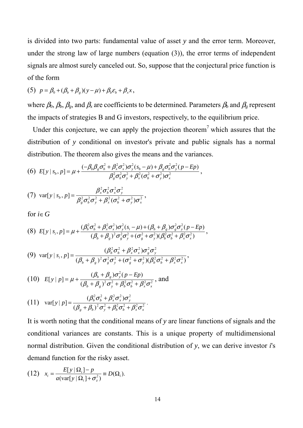is divided into two parts: fundamental value of asset *y* and the error term. Moreover, under the strong law of large numbers (equation (3)), the error terms of independent signals are almost surely canceled out. So, suppose that the conjectural price function is of the form

(5) 
$$
p = \beta_0 + (\beta_b + \beta_g)(y - \mu) + \beta_b \varepsilon_b + \beta_x x,
$$

where  $\beta_0$ ,  $\beta_b$ ,  $\beta_g$ , and  $\beta_x$  are coefficients to be determined. Parameters  $\beta_b$  and  $\beta_g$  represent the impacts of strategies B and G investors, respectively, to the equilibrium price.

Under this conjecture, we can apply the projection theorem<sup>7</sup> which assures that the distribution of *y* conditional on investor's private and public signals has a normal distribution. The theorem also gives the means and the variances.

(6) 
$$
E[y \mid s_{b}, p] = \mu + \frac{(-\beta_{b}\beta_{g}\sigma_{b}^{2} + \beta_{x}^{2}\sigma_{x}^{2})\sigma_{y}^{2}(s_{b} - \mu) + \beta_{g}\sigma_{b}^{2}\sigma_{y}^{2}(p - Ep)}{\beta_{g}^{2}\sigma_{b}^{2}\sigma_{y}^{2} + \beta_{x}^{2}(\sigma_{b}^{2} + \sigma_{y}^{2})\sigma_{x}^{2}},
$$

(7) 
$$
\operatorname{var}[y \mid s_b, p] = \frac{\beta_x^2 \sigma_b^2 \sigma_x^2 \sigma_y^2}{\beta_g^2 \sigma_b^2 \sigma_y^2 + \beta_x^2 (\sigma_b^2 + \sigma_y^2) \sigma_x^2},
$$

for  $i \in G$ 

$$
(8) \ E[y \mid s_i, p] = \mu + \frac{(\beta_b^2 \sigma_b^2 + \beta_x^2 \sigma_x^2) \sigma_y^2 (s_i - \mu) + (\beta_b + \beta_g) \sigma_g^2 \sigma_y^2 (p - Ep)}{(\beta_b + \beta_g)^2 \sigma_g^2 \sigma_y^2 + (\sigma_g^2 + \sigma_y^2) (\beta_b^2 \sigma_b^2 + \beta_x^2 \sigma_x^2)},
$$

(9) var[
$$
y | s_i, p
$$
] = 
$$
\frac{(\beta_b^2 \sigma_b^2 + \beta_x^2 \sigma_x^2) \sigma_g^2 \sigma_y^2}{(\beta_b + \beta_g)^2 \sigma_g^2 \sigma_y^2 + (\sigma_g^2 + \sigma_y^2)(\beta_b^2 \sigma_b^2 + \beta_x^2 \sigma_x^2)},
$$

(10) 
$$
E[y | p] = \mu + \frac{(\beta_b + \beta_g)\sigma_y^2(p - Ep)}{(\beta_b + \beta_g)^2 \sigma_y^2 + \beta_b^2 \sigma_b^2 + \beta_x^2 \sigma_x^2}
$$
, and

(11) 
$$
\operatorname{var}[y \mid p] = \frac{(\beta_b^2 \sigma_b^2 + \beta_x^2 \sigma_x^2) \sigma_y^2}{(\beta_g + \beta_b)^2 \sigma_y^2 + \beta_b^2 \sigma_b^2 + \beta_x^2 \sigma_x^2}.
$$

It is worth noting that the conditional means of *y* are linear functions of signals and the conditional variances are constants. This is a unique property of multidimensional normal distribution. Given the conditional distribution of *y*, we can derive investor *i*'s demand function for the risky asset.

(12) 
$$
x_i = \frac{E[y | \Omega_i] - p}{a(\text{var}[y | \Omega_i] + \sigma_z^2)} \equiv D(\Omega_i).
$$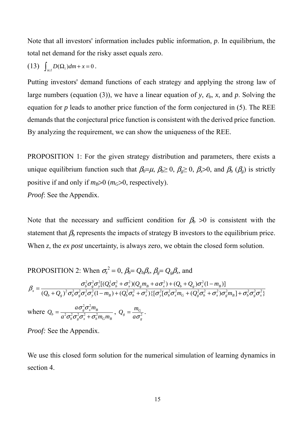Note that all investors' information includes public information, *p*. In equilibrium, the total net demand for the risky asset equals zero.

$$
(13) \quad \int_{i \in I} D(\Omega_i) dm + x = 0 \, .
$$

Putting investors' demand functions of each strategy and applying the strong law of large numbers (equation (3)), we have a linear equation of *y*,  $\varepsilon_b$ , *x*, and *p*. Solving the equation for  $p$  leads to another price function of the form conjectured in  $(5)$ . The REE demands that the conjectural price function is consistent with the derived price function. By analyzing the requirement, we can show the uniqueness of the REE.

PROPOSITION 1: For the given strategy distribution and parameters, there exists a unique equilibrium function such that  $\beta_0 = \mu$ ,  $\beta_0 \ge 0$ ,  $\beta_0 \ge 0$ ,  $\beta_0 \ge 0$ , and  $\beta_b$  ( $\beta_g$ ) is strictly positive if and only if  $m_B > 0$  ( $m_G > 0$ , respectively). *Proof*: See the Appendix.

Note that the necessary and sufficient condition for  $\beta_b > 0$  is consistent with the statement that  $\beta_b$  represents the impacts of strategy B investors to the equilibrium price. When *z*, the *ex post* uncertainty, is always zero, we obtain the closed form solution.

PROPOSITION 2: When 
$$
\sigma_z^2 = 0
$$
,  $\beta_b = Q_b \beta_x$ ,  $\beta_g = Q_g \beta_x$ , and  
\n
$$
\beta_x = \frac{\sigma_b^2 \sigma_g^2 \sigma_y^2 [ (Q_b^2 \sigma_b^2 + \sigma_x^2) (Q_g m_B + a \sigma_x^2) + (Q_b + Q_g) \sigma_x^2 (1 - m_B) ]}{(Q_b + Q_g)^2 \sigma_b^2 \sigma_g^2 \sigma_x^2 \sigma_y^2 (1 - m_B) + (Q_b^2 \sigma_b^2 + \sigma_x^2) \{ [\sigma_y^2 [\sigma_b^2 \sigma_x^2 m_G + (Q_g^2 \sigma_b^2 + \sigma_x^2) \sigma_g^2 m_B] + \sigma_b^2 \sigma_g^2 \sigma_x^2 \}}
$$

where  $b$   $\sigma_g \sigma_x + \sigma_b m_G m_B$  $g \mathbf{v}_x m_B$  $b = \frac{a^2\sigma_b^2\sigma_v^2\sigma_r^2 + \sigma_b^2m_Gm$  $a\sigma_{\scriptscriptstyle\circ}^2\sigma_{\scriptscriptstyle\rm v}^2$ m  $Q_b = \frac{d^{2} \sigma_g^{2} \sigma_x m_B^{2}}{a^2 \sigma^2 \sigma^2 \sigma^2 + \sigma^2}$  $2 - 2$  $\sigma \sigma \sigma + \sigma$  $=\frac{a\sigma_g^2\sigma_x^2m_B}{a^2\sigma_b^2\sigma_g^2\sigma_x^2+\sigma_b^2m_Gm_B}$ ,  $Q_g=\frac{m_G}{a\sigma_g^2}$  $g = \frac{m_G}{a\sigma}$  $Q_{g} = \frac{m_{G}}{a\sigma^{2}}$ .

*Proof:* See the Appendix.

We use this closed form solution for the numerical simulation of learning dynamics in section 4.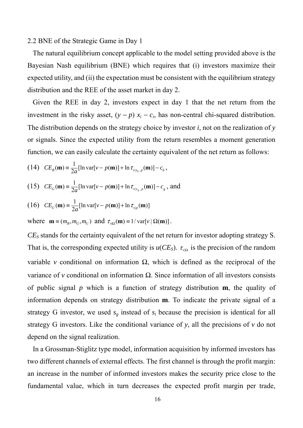#### 2.2 BNE of the Strategic Game in Day 1

 The natural equilibrium concept applicable to the model setting provided above is the Bayesian Nash equilibrium (BNE) which requires that (i) investors maximize their expected utility, and (ii) the expectation must be consistent with the equilibrium strategy distribution and the REE of the asset market in day 2.

 Given the REE in day 2, investors expect in day 1 that the net return from the investment in the risky asset,  $(y - p) x_i - c_i$ , has non-central chi-squared distribution. The distribution depends on the strategy choice by investor *i*, not on the realization of *y* or signals. Since the expected utility from the return resembles a moment generation function, we can easily calculate the certainty equivalent of the net return as follows:

(14) 
$$
CE_B(\mathbf{m}) = \frac{1}{2a} [\ln \text{var}[v - p(\mathbf{m})] + \ln \tau_{v|s_b, p}(\mathbf{m})] - c_b
$$
,

(15) 
$$
CE_G(\mathbf{m}) \equiv \frac{1}{2a} [\ln \text{var}[v - p(\mathbf{m})] + \ln \tau_{v|s_g, p}(\mathbf{m})] - c_g
$$
, and

(16) 
$$
CE_U(\mathbf{m}) \equiv \frac{1}{2a} [\ln \text{var}[v - p(\mathbf{m})] + \ln \tau_{v|p}(\mathbf{m})]
$$

where  $\mathbf{m} \equiv (m_B, m_G, m_U)$  and  $\tau_{v}(\mathbf{m}) \equiv 1/\text{var}[v | \Omega(\mathbf{m})]$ .

*CES* stands for the certainty equivalent of the net return for investor adopting strategy S. That is, the corresponding expected utility is  $u(CE_S)$ .  $\tau_{\nu|\Omega}$  is the precision of the random variable *v* conditional on information  $\Omega$ , which is defined as the reciprocal of the variance of *v* conditional on information Ω. Since information of all investors consists of public signal *p* which is a function of strategy distribution **m**, the quality of information depends on strategy distribution **m**. To indicate the private signal of a strategy G investor, we used  $s_g$  instead of  $s_i$  because the precision is identical for all strategy G investors. Like the conditional variance of *y*, all the precisions of *v* do not depend on the signal realization.

 In a Grossman-Stiglitz type model, information acquisition by informed investors has two different channels of external effects. The first channel is through the profit margin: an increase in the number of informed investors makes the security price close to the fundamental value, which in turn decreases the expected profit margin per trade,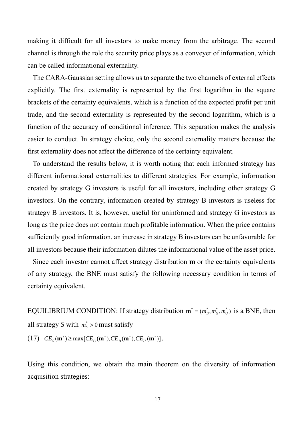making it difficult for all investors to make money from the arbitrage. The second channel is through the role the security price plays as a conveyer of information, which can be called informational externality.

 The CARA-Gaussian setting allows us to separate the two channels of external effects explicitly. The first externality is represented by the first logarithm in the square brackets of the certainty equivalents, which is a function of the expected profit per unit trade, and the second externality is represented by the second logarithm, which is a function of the accuracy of conditional inference. This separation makes the analysis easier to conduct. In strategy choice, only the second externality matters because the first externality does not affect the difference of the certainty equivalent.

 To understand the results below, it is worth noting that each informed strategy has different informational externalities to different strategies. For example, information created by strategy G investors is useful for all investors, including other strategy G investors. On the contrary, information created by strategy B investors is useless for strategy B investors. It is, however, useful for uninformed and strategy G investors as long as the price does not contain much profitable information. When the price contains sufficiently good information, an increase in strategy B investors can be unfavorable for all investors because their information dilutes the informational value of the asset price.

 Since each investor cannot affect strategy distribution **m** or the certainty equivalents of any strategy, the BNE must satisfy the following necessary condition in terms of certainty equivalent.

EQUILIBRIUM CONDITION: If strategy distribution  $\mathbf{m}^* = (m_B^*, m_G^*, m_U^*)$  is a BNE, then all strategy *S* with  $m_s^* > 0$  must satisfy  $(CE_S(\mathbf{m}^*)) \ge \max[CE_G(\mathbf{m}^*), CE_B(\mathbf{m}^*), CE_U(\mathbf{m}^*)].$ 

Using this condition, we obtain the main theorem on the diversity of information acquisition strategies: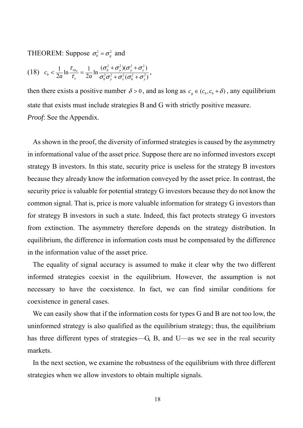THEOREM: Suppose  $\sigma_b^2 = \sigma_g^2$  and

$$
(18) \quad c_{b} < \frac{1}{2a} \ln \frac{\tau_{\nu | s_{b}}}{\tau_{\nu}} = \frac{1}{2a} \ln \frac{(\sigma_{b}^{2} + \sigma_{y}^{2})(\sigma_{y}^{2} + \sigma_{z}^{2})}{\sigma_{b}^{2} \sigma_{y}^{2} + \sigma_{z}^{2} (\sigma_{b}^{2} + \sigma_{y}^{2})},
$$

then there exists a positive number  $\delta > 0$ , and as long as  $c_g \in (c_b, c_b + \delta)$ , any equilibrium state that exists must include strategies B and G with strictly positive measure. *Proof*: See the Appendix.

 As shown in the proof, the diversity of informed strategies is caused by the asymmetry in informational value of the asset price. Suppose there are no informed investors except strategy B investors. In this state, security price is useless for the strategy B investors because they already know the information conveyed by the asset price. In contrast, the security price is valuable for potential strategy G investors because they do not know the common signal. That is, price is more valuable information for strategy G investors than for strategy B investors in such a state. Indeed, this fact protects strategy G investors from extinction. The asymmetry therefore depends on the strategy distribution. In equilibrium, the difference in information costs must be compensated by the difference in the information value of the asset price.

 The equality of signal accuracy is assumed to make it clear why the two different informed strategies coexist in the equilibrium. However, the assumption is not necessary to have the coexistence. In fact, we can find similar conditions for coexistence in general cases.

 We can easily show that if the information costs for types G and B are not too low, the uninformed strategy is also qualified as the equilibrium strategy; thus, the equilibrium has three different types of strategies—G, B, and U—as we see in the real security markets.

 In the next section, we examine the robustness of the equilibrium with three different strategies when we allow investors to obtain multiple signals.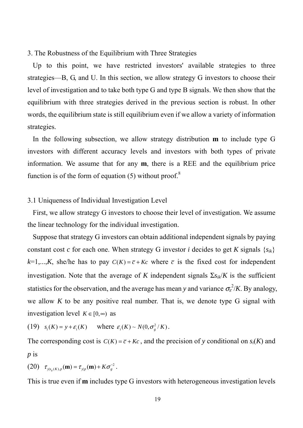3. The Robustness of the Equilibrium with Three Strategies

 Up to this point, we have restricted investors' available strategies to three strategies—B, G, and U. In this section, we allow strategy G investors to choose their level of investigation and to take both type G and type B signals. We then show that the equilibrium with three strategies derived in the previous section is robust. In other words, the equilibrium state is still equilibrium even if we allow a variety of information strategies.

 In the following subsection, we allow strategy distribution **m** to include type G investors with different accuracy levels and investors with both types of private information. We assume that for any **m**, there is a REE and the equilibrium price function is of the form of equation  $(5)$  without proof.<sup>8</sup>

#### 3.1 Uniqueness of Individual Investigation Level

 First, we allow strategy G investors to choose their level of investigation. We assume the linear technology for the individual investigation.

 Suppose that strategy G investors can obtain additional independent signals by paying constant cost *c* for each one. When strategy G investor *i* decides to get *K* signals  $\{s_{ik}\}\$  $k=1,...,K$ , she/he has to pay  $C(K) = \overline{c} + Kc$  where  $\overline{c}$  is the fixed cost for independent investigation. Note that the average of *K* independent signals  $\Sigma s_{ik}/K$  is the sufficient statistics for the observation, and the average has mean *y* and variance  $\sigma_{\epsilon}^2/K$ . By analogy, we allow  $K$  to be any positive real number. That is, we denote type  $G$  signal with investigation level  $K \in [0, \infty)$  as

(19) 
$$
s_i(K) = y + \varepsilon_i(K)
$$
 where  $\varepsilon_i(K) \sim N(0, \sigma_s^2/K)$ .

The corresponding cost is  $C(K) = \overline{c} + Kc$ , and the precision of y conditional on  $s_i(K)$  and *p* is

(20) 
$$
\tau_{y|s_g(K),p}(\mathbf{m}) = \tau_{y|p}(\mathbf{m}) + K\sigma_g^{-2}
$$
.

This is true even if **m** includes type G investors with heterogeneous investigation levels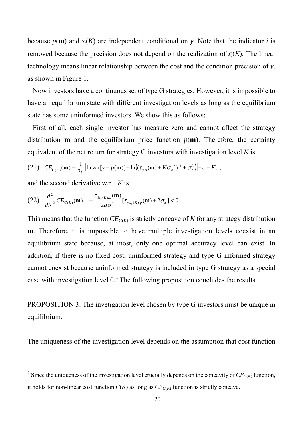because  $p(\mathbf{m})$  and  $s_i(K)$  are independent conditional on *y*. Note that the indicator *i* is removed because the precision does not depend on the realization of  $\varepsilon$ <sub>*i*</sub>(*K*). The linear technology means linear relationship between the cost and the condition precision of *y*, as shown in Figure 1.

 Now investors have a continuous set of type G strategies. However, it is impossible to have an equilibrium state with different investigation levels as long as the equilibrium state has some uninformed investors. We show this as follows:

 First of all, each single investor has measure zero and cannot affect the strategy distribution **m** and the equilibrium price function  $p(m)$ . Therefore, the certainty equivalent of the net return for strategy G investors with investigation level *K* is

(21) 
$$
CE_{G(K)}(\mathbf{m}) = \frac{1}{2a} [\ln \text{var}[v - p(\mathbf{m})] - \ln ((\tau_{y|p}(\mathbf{m}) + K\sigma_s^{-2})^{-1} + \sigma_z^2)] - \bar{c} - Kc
$$
,

and the second derivative w.r.t. *K* is

1

(22) 
$$
\frac{d^2}{dK^2}CE_{G(K)}(\mathbf{m})=-\frac{\tau_{\nu|s_g(K),p}(\mathbf{m})}{2a\sigma_g^4}[\tau_{\nu|s_g(K),p}(\mathbf{m})+2\sigma_z^2]<0.
$$

This means that the function  $CE_{G(K)}$  is strictly concave of *K* for any strategy distribution **m**. Therefore, it is impossible to have multiple investigation levels coexist in an equilibrium state because, at most, only one optimal accuracy level can exist. In addition, if there is no fixed cost, uninformed strategy and type G informed strategy cannot coexist because uninformed strategy is included in type G strategy as a special case with investigation level  $0<sup>2</sup>$ . The following proposition concludes the results.

PROPOSITION 3: The invetigation level chosen by type G investors must be unique in equilibrium.

The uniqueness of the investigation level depends on the assumption that cost function

<sup>&</sup>lt;sup>2</sup> Since the uniqueness of the investigation level crucially depends on the concavity of  $CE_{G(K)}$  function, it holds for non-linear cost function  $C(K)$  as long as  $CE_{G(K)}$  function is strictly concave.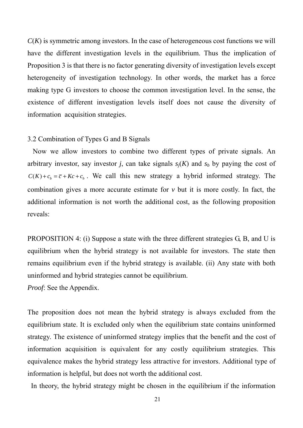$C(K)$  is symmetric among investors. In the case of heterogeneous cost functions we will have the different investigation levels in the equilibrium. Thus the implication of Proposition 3 is that there is no factor generating diversity of investigation levels except heterogeneity of investigation technology. In other words, the market has a force making type G investors to choose the common investigation level. In the sense, the existence of different investigation levels itself does not cause the diversity of information acquisition strategies.

#### 3.2 Combination of Types G and B Signals

 Now we allow investors to combine two different types of private signals. An arbitrary investor, say investor *j*, can take signals  $s<sub>i</sub>(K)$  and  $s<sub>b</sub>$  by paying the cost of  $C(K) + c_h = \overline{c} + Kc + c_h$ . We call this new strategy a hybrid informed strategy. The combination gives a more accurate estimate for *v* but it is more costly. In fact, the additional information is not worth the additional cost, as the following proposition reveals:

PROPOSITION 4: (i) Suppose a state with the three different strategies G, B, and U is equilibrium when the hybrid strategy is not available for investors. The state then remains equilibrium even if the hybrid strategy is available. (ii) Any state with both uninformed and hybrid strategies cannot be equilibrium.

*Proof*: See the Appendix.

The proposition does not mean the hybrid strategy is always excluded from the equilibrium state. It is excluded only when the equilibrium state contains uninformed strategy. The existence of uninformed strategy implies that the benefit and the cost of information acquisition is equivalent for any costly equilibrium strategies. This equivalence makes the hybrid strategy less attractive for investors. Additional type of information is helpful, but does not worth the additional cost.

In theory, the hybrid strategy might be chosen in the equilibrium if the information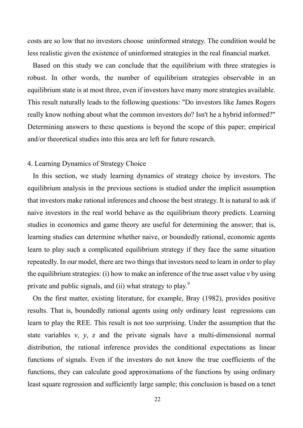costs are so low that no investors choose uninformed strategy. The condition would be less realistic given the existence of uninformed strategies in the real financial market.

 Based on this study we can conclude that the equilibrium with three strategies is robust. In other words, the number of equilibrium strategies observable in an equilibrium state is at most three, even if investors have many more strategies available. This result naturally leads to the following questions: "Do investors like James Rogers really know nothing about what the common investors do? Isn't he a hybrid informed?" Determining answers to these questions is beyond the scope of this paper; empirical and/or theoretical studies into this area are left for future research.

#### 4. Learning Dynamics of Strategy Choice

 In this section, we study learning dynamics of strategy choice by investors. The equilibrium analysis in the previous sections is studied under the implicit assumption that investors make rational inferences and choose the best strategy. It is natural to ask if naive investors in the real world behave as the equilibrium theory predicts. Learning studies in economics and game theory are useful for determining the answer; that is, learning studies can determine whether naive, or boundedly rational, economic agents learn to play such a complicated equilibrium strategy if they face the same situation repeatedly. In our model, there are two things that investors need to learn in order to play the equilibrium strategies: (i) how to make an inference of the true asset value *v* by using private and public signals, and (ii) what strategy to play. $9$ 

 On the first matter, existing literature, for example, Bray (1982), provides positive results. That is, boundedly rational agents using only ordinary least regressions can learn to play the REE. This result is not too surprising. Under the assumption that the state variables *v*, *y*, *z* and the private signals have a multi-dimensional normal distribution, the rational inference provides the conditional expectations as linear functions of signals. Even if the investors do not know the true coefficients of the functions, they can calculate good approximations of the functions by using ordinary least square regression and sufficiently large sample; this conclusion is based on a tenet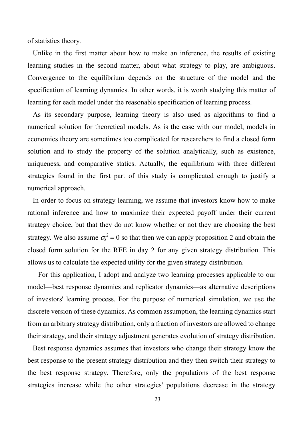of statistics theory.

 Unlike in the first matter about how to make an inference, the results of existing learning studies in the second matter, about what strategy to play, are ambiguous. Convergence to the equilibrium depends on the structure of the model and the specification of learning dynamics. In other words, it is worth studying this matter of learning for each model under the reasonable specification of learning process.

 As its secondary purpose, learning theory is also used as algorithms to find a numerical solution for theoretical models. As is the case with our model, models in economics theory are sometimes too complicated for researchers to find a closed form solution and to study the property of the solution analytically, such as existence, uniqueness, and comparative statics. Actually, the equilibrium with three different strategies found in the first part of this study is complicated enough to justify a numerical approach.

 In order to focus on strategy learning, we assume that investors know how to make rational inference and how to maximize their expected payoff under their current strategy choice, but that they do not know whether or not they are choosing the best strategy. We also assume  $\sigma_z^2 = 0$  so that then we can apply proposition 2 and obtain the closed form solution for the REE in day 2 for any given strategy distribution. This allows us to calculate the expected utility for the given strategy distribution.

 For this application, I adopt and analyze two learning processes applicable to our model—best response dynamics and replicator dynamics—as alternative descriptions of investors' learning process. For the purpose of numerical simulation, we use the discrete version of these dynamics. As common assumption, the learning dynamics start from an arbitrary strategy distribution, only a fraction of investors are allowed to change their strategy, and their strategy adjustment generates evolution of strategy distribution.

 Best response dynamics assumes that investors who change their strategy know the best response to the present strategy distribution and they then switch their strategy to the best response strategy. Therefore, only the populations of the best response strategies increase while the other strategies' populations decrease in the strategy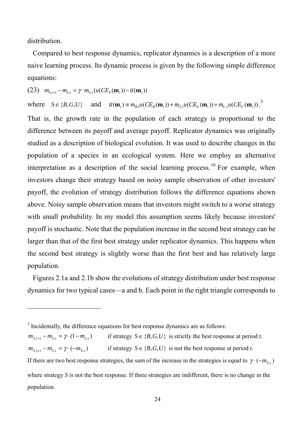distribution.

1

 Compared to best response dynamics, replicator dynamics is a description of a more naive learning process. Its dynamic process is given by the following simple difference equations:

(23)  $m_{s,t+1} - m_{s,t} = \gamma \cdot m_{s,t} (u(CE_s(\mathbf{m}_t)) - \overline{u}(\mathbf{m}_t))$ 

where  $S \in \{B, G, U\}$  and  $\bar{u}(\mathbf{m}_t) \equiv m_{B,t} u(CE_B(\mathbf{m}_t)) + m_{G,t} u(CE_G(\mathbf{m}_t)) + m_{U,t} u(CE_U(\mathbf{m}_t))$ .

That is, the growth rate in the population of each strategy is proportional to the difference between its payoff and average payoff. Replicator dynamics was originally studied as a description of biological evolution. It was used to describe changes in the population of a species in an ecological system. Here we employ an alternative interpretation as a description of the social learning process.<sup>10</sup> For example, when investors change their strategy based on noisy sample observation of other investors' payoff, the evolution of strategy distribution follows the difference equations shown above. Noisy sample observation means that investors might switch to a worse strategy with small probability. In my model this assumption seems likely because investors' payoff is stochastic. Note that the population increase in the second best strategy can be larger than that of the first best strategy under replicator dynamics. This happens when the second best strategy is slightly worse than the first best and has relatively large population.

 Figures 2.1a and 2.1b show the evolutions of strategy distribution under best response dynamics for two typical cases—a and b. Each point in the right triangle corresponds to

 $m_{S_t} - m_{S_t} = \gamma \cdot (1 - m_{S_t})$  if strategy  $S \in \{B, G, U\}$  is strictly the best response at period *t*.  $m_{S_t t+1} - m_{S_t} = \gamma \cdot (-m_{S_t})$  if strategy  $S \in \{B, G, U\}$  is not the best response at period *t*. If there are two best response strategies, the sum of the increase in the strategies is equal to  $\gamma \cdot (-m<sub>s,t</sub>)$ where strategy *S* is not the best response. If three strategies are indifferent, there is no change in the population.

<sup>&</sup>lt;sup>3</sup> Incidentally, the difference equations for best response dynamics are as follows: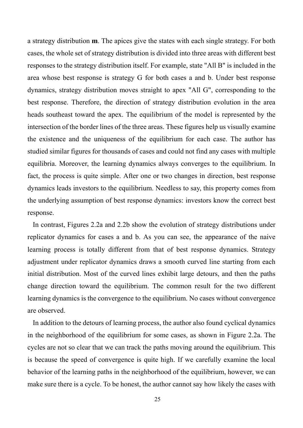a strategy distribution **m**. The apices give the states with each single strategy. For both cases, the whole set of strategy distribution is divided into three areas with different best responses to the strategy distribution itself. For example, state "All B" is included in the area whose best response is strategy G for both cases a and b. Under best response dynamics, strategy distribution moves straight to apex "All G", corresponding to the best response. Therefore, the direction of strategy distribution evolution in the area heads southeast toward the apex. The equilibrium of the model is represented by the intersection of the border lines of the three areas. These figures help us visually examine the existence and the uniqueness of the equilibrium for each case. The author has studied similar figures for thousands of cases and could not find any cases with multiple equilibria. Moreover, the learning dynamics always converges to the equilibrium. In fact, the process is quite simple. After one or two changes in direction, best response dynamics leads investors to the equilibrium. Needless to say, this property comes from the underlying assumption of best response dynamics: investors know the correct best response.

 In contrast, Figures 2.2a and 2.2b show the evolution of strategy distributions under replicator dynamics for cases a and b. As you can see, the appearance of the naive learning process is totally different from that of best response dynamics. Strategy adjustment under replicator dynamics draws a smooth curved line starting from each initial distribution. Most of the curved lines exhibit large detours, and then the paths change direction toward the equilibrium. The common result for the two different learning dynamics is the convergence to the equilibrium. No cases without convergence are observed.

 In addition to the detours of learning process, the author also found cyclical dynamics in the neighborhood of the equilibrium for some cases, as shown in Figure 2.2a. The cycles are not so clear that we can track the paths moving around the equilibrium. This is because the speed of convergence is quite high. If we carefully examine the local behavior of the learning paths in the neighborhood of the equilibrium, however, we can make sure there is a cycle. To be honest, the author cannot say how likely the cases with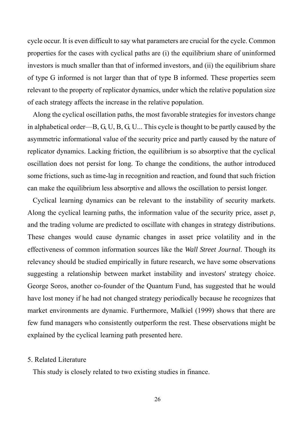cycle occur. It is even difficult to say what parameters are crucial for the cycle. Common properties for the cases with cyclical paths are (i) the equilibrium share of uninformed investors is much smaller than that of informed investors, and (ii) the equilibrium share of type G informed is not larger than that of type B informed. These properties seem relevant to the property of replicator dynamics, under which the relative population size of each strategy affects the increase in the relative population.

 Along the cyclical oscillation paths, the most favorable strategies for investors change in alphabetical order—B, G, U, B, G, U... This cycle is thought to be partly caused by the asymmetric informational value of the security price and partly caused by the nature of replicator dynamics. Lacking friction, the equilibrium is so absorptive that the cyclical oscillation does not persist for long. To change the conditions, the author introduced some frictions, such as time-lag in recognition and reaction, and found that such friction can make the equilibrium less absorptive and allows the oscillation to persist longer.

 Cyclical learning dynamics can be relevant to the instability of security markets. Along the cyclical learning paths, the information value of the security price, asset *p*, and the trading volume are predicted to oscillate with changes in strategy distributions. These changes would cause dynamic changes in asset price volatility and in the effectiveness of common information sources like the *Wall Street Journal*. Though its relevancy should be studied empirically in future research, we have some observations suggesting a relationship between market instability and investors' strategy choice. George Soros, another co-founder of the Quantum Fund, has suggested that he would have lost money if he had not changed strategy periodically because he recognizes that market environments are dynamic. Furthermore, Malkiel (1999) shows that there are few fund managers who consistently outperform the rest. These observations might be explained by the cyclical learning path presented here.

#### 5. Related Literature

This study is closely related to two existing studies in finance.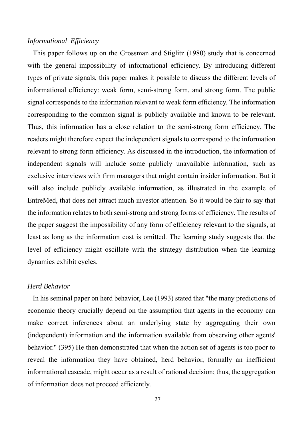#### *Informational Efficiency*

 This paper follows up on the Grossman and Stiglitz (1980) study that is concerned with the general impossibility of informational efficiency. By introducing different types of private signals, this paper makes it possible to discuss the different levels of informational efficiency: weak form, semi-strong form, and strong form. The public signal corresponds to the information relevant to weak form efficiency. The information corresponding to the common signal is publicly available and known to be relevant. Thus, this information has a close relation to the semi-strong form efficiency. The readers might therefore expect the independent signals to correspond to the information relevant to strong form efficiency. As discussed in the introduction, the information of independent signals will include some publicly unavailable information, such as exclusive interviews with firm managers that might contain insider information. But it will also include publicly available information, as illustrated in the example of EntreMed, that does not attract much investor attention. So it would be fair to say that the information relates to both semi-strong and strong forms of efficiency. The results of the paper suggest the impossibility of any form of efficiency relevant to the signals, at least as long as the information cost is omitted. The learning study suggests that the level of efficiency might oscillate with the strategy distribution when the learning dynamics exhibit cycles.

#### *Herd Behavior*

 In his seminal paper on herd behavior, Lee (1993) stated that "the many predictions of economic theory crucially depend on the assumption that agents in the economy can make correct inferences about an underlying state by aggregating their own (independent) information and the information available from observing other agents' behavior." (395) He then demonstrated that when the action set of agents is too poor to reveal the information they have obtained, herd behavior, formally an inefficient informational cascade, might occur as a result of rational decision; thus, the aggregation of information does not proceed efficiently.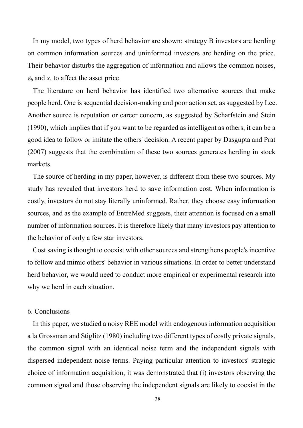In my model, two types of herd behavior are shown: strategy B investors are herding on common information sources and uninformed investors are herding on the price. Their behavior disturbs the aggregation of information and allows the common noises,  $\varepsilon_b$  and *x*, to affect the asset price.

 The literature on herd behavior has identified two alternative sources that make people herd. One is sequential decision-making and poor action set, as suggested by Lee. Another source is reputation or career concern, as suggested by Scharfstein and Stein (1990), which implies that if you want to be regarded as intelligent as others, it can be a good idea to follow or imitate the others' decision. A recent paper by Dasgupta and Prat (2007) suggests that the combination of these two sources generates herding in stock markets.

 The source of herding in my paper, however, is different from these two sources. My study has revealed that investors herd to save information cost. When information is costly, investors do not stay literally uninformed. Rather, they choose easy information sources, and as the example of EntreMed suggests, their attention is focused on a small number of information sources. It is therefore likely that many investors pay attention to the behavior of only a few star investors.

 Cost saving is thought to coexist with other sources and strengthens people's incentive to follow and mimic others' behavior in various situations. In order to better understand herd behavior, we would need to conduct more empirical or experimental research into why we herd in each situation.

#### 6. Conclusions

 In this paper, we studied a noisy REE model with endogenous information acquisition a la Grossman and Stiglitz (1980) including two different types of costly private signals, the common signal with an identical noise term and the independent signals with dispersed independent noise terms. Paying particular attention to investors' strategic choice of information acquisition, it was demonstrated that (i) investors observing the common signal and those observing the independent signals are likely to coexist in the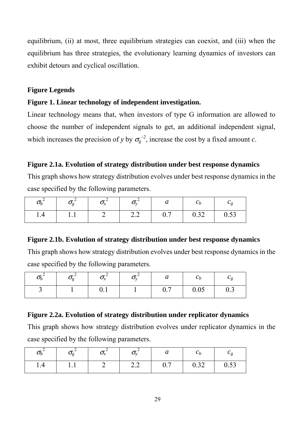equilibrium, (ii) at most, three equilibrium strategies can coexist, and (iii) when the equilibrium has three strategies, the evolutionary learning dynamics of investors can exhibit detours and cyclical oscillation.

### **Figure Legends**

# **Figure 1. Linear technology of independent investigation.**

Linear technology means that, when investors of type G information are allowed to choose the number of independent signals to get, an additional independent signal, which increases the precision of *y* by  $\sigma_g^{-2}$ , increase the cost by a fixed amount *c*.

# **Figure 2.1a. Evolution of strategy distribution under best response dynamics**

This graph shows how strategy distribution evolves under best response dynamics in the case specified by the following parameters.

| $\bm{o}_b$ | $\bm{\sigma}$  | $\boldsymbol{\mathcal{Q}}_x$<br>$\boldsymbol{\mathcal{N}}$ |                                 | $\boldsymbol{\mathcal{U}}$ | U h  | Uσ   |
|------------|----------------|------------------------------------------------------------|---------------------------------|----------------------------|------|------|
| 1.4        | $\mathbf{1}$ . |                                                            | $\overline{L}$ . $\overline{L}$ | 0.7                        | 0.32 | 0.53 |

# **Figure 2.1b. Evolution of strategy distribution under best response dynamics**

This graph shows how strategy distribution evolves under best response dynamics in the case specified by the following parameters.

| $\boldsymbol{\nu}_b$ | $\bm{\mathsf{\nu}}$ | $\mathbf{v}_x$ | Vv | $\bm{\mathcal{U}}$ | $\mathbf{c}_b$ |     |
|----------------------|---------------------|----------------|----|--------------------|----------------|-----|
|                      |                     | V.1            |    | 0.7                | 0.05           | 0.3 |

# **Figure 2.2a. Evolution of strategy distribution under replicator dynamics**

This graph shows how strategy distribution evolves under replicator dynamics in the case specified by the following parameters.

| $\bm{\nu}_b$ |          | $\boldsymbol{\cup}_x$<br>$\sim$ |                 | u   | $\mathbf{v}_b$ |                    |
|--------------|----------|---------------------------------|-----------------|-----|----------------|--------------------|
| 1.4          | $\cdots$ |                                 | $\sim$ . $\sim$ | 0.7 | 0.32           | $\sqrt{2}$<br>0.33 |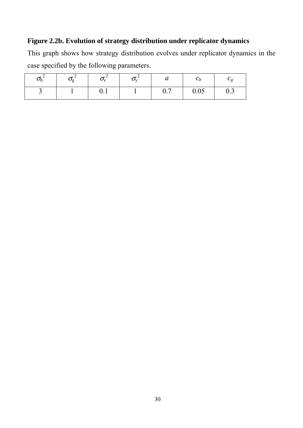# **Figure 2.2b. Evolution of strategy distribution under replicator dynamics**

This graph shows how strategy distribution evolves under replicator dynamics in the case specified by the following parameters.

|  | مە -        | u                      | しん   |                             |
|--|-------------|------------------------|------|-----------------------------|
|  | $v \cdot r$ | በ 7<br>$\mathsf{v}$ ., | 0.05 | $\mathsf{v}$ . $\mathsf{v}$ |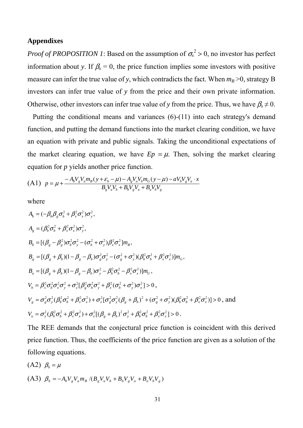#### **Appendixes**

*Proof of PROPOSITION 1*: Based on the assumption of  $\sigma_x^2 > 0$ , no investor has perfect information about *y*. If  $\beta_x = 0$ , the price function implies some investors with positive measure can infer the true value of *y*, which contradicts the fact. When  $m_B > 0$ , strategy B investors can infer true value of *y* from the price and their own private information. Otherwise, other investors can infer true value of *y* from the price. Thus, we have  $\beta_x \neq 0$ .

 Putting the conditional means and variances (6)-(11) into each strategy's demand function, and putting the demand functions into the market clearing condition, we have an equation with private and public signals. Taking the unconditional expectations of the market clearing equation, we have  $Ep = \mu$ . Then, solving the market clearing equation for *p* yields another price function.

$$
(A1) \quad p = \mu + \frac{-A_b V_g V_u m_B (y + \varepsilon_b - \mu) - A_g V_u V_b m_G (y - \mu) - a V_b V_g V_u \cdot x}{B_g V_u V_b + B_b V_g V_u + B_u V_b V_g}
$$

where

$$
A_{b} = (-\beta_{b}\beta_{g}\sigma_{b}^{2} + \beta_{x}^{2}\sigma_{x}^{2})\sigma_{y}^{2},
$$
  
\n
$$
A_{g} = (\beta_{b}^{2}\sigma_{b}^{2} + \beta_{x}^{2}\sigma_{x}^{2})\sigma_{y}^{2},
$$
  
\n
$$
B_{b} = [(\beta_{g} - \beta_{g}^{2})\sigma_{b}^{2}\sigma_{y}^{2} - (\sigma_{b}^{2} + \sigma_{y}^{2})\beta_{x}^{2}\sigma_{x}^{2}]m_{B},
$$
  
\n
$$
B_{g} = [(\beta_{g} + \beta_{b})(1 - \beta_{g} - \beta_{b})\sigma_{g}^{2}\sigma_{y}^{2} - (\sigma_{g}^{2} + \sigma_{y}^{2})(\beta_{b}^{2}\sigma_{b}^{2} + \beta_{x}^{2}\sigma_{x}^{2})]m_{G},
$$
  
\n
$$
B_{u} = [(\beta_{g} + \beta_{b})(1 - \beta_{g} - \beta_{b})\sigma_{y}^{2} - \beta_{b}^{2}\sigma_{b}^{2} - \beta_{x}^{2}\sigma_{x}^{2})]m_{U},
$$
  
\n
$$
V_{b} = \beta_{x}^{2}\sigma_{b}^{2}\sigma_{x}^{2}\sigma_{y}^{2} + \sigma_{z}^{2}[\beta_{g}^{2}\sigma_{b}^{2}\sigma_{y}^{2} + \beta_{x}^{2}(\sigma_{b}^{2} + \sigma_{y}^{2})\sigma_{x}^{2}] > 0,
$$
  
\n
$$
V_{g} = \sigma_{g}^{2}\sigma_{y}^{2}(\beta_{b}^{2}\sigma_{b}^{2} + \beta_{x}^{2}\sigma_{x}^{2}) + \sigma_{z}^{2}[\sigma_{g}^{2}\sigma_{y}^{2}(\beta_{g} + \beta_{b})^{2} + (\sigma_{g}^{2} + \sigma_{y}^{2})(\beta_{b}^{2}\sigma_{b}^{2} + \beta_{x}^{2}\sigma_{x}^{2})] > 0, \text{ and}
$$
  
\n
$$
V_{u} = \sigma_{y}^{2}(\beta_{b}^{2}\sigma_{b}^{2} + \beta_{x}^{2}\sigma_{x}^{2}) + \sigma_{z}^{2}[(\beta_{g} + \beta_{b})^{2}\sigma_{y}^{2} + \beta_{b}^{2}\sigma_{b}^{2
$$

The REE demands that the conjectural price function is coincident with this derived price function. Thus, the coefficients of the price function are given as a solution of the following equations.

(A2)  $\beta_0 = \mu$ (A3)  $\beta_b = -A_b V_g V_u m_B / (B_g V_u V_b + B_b V_g V_u + B_u V_b V_g)$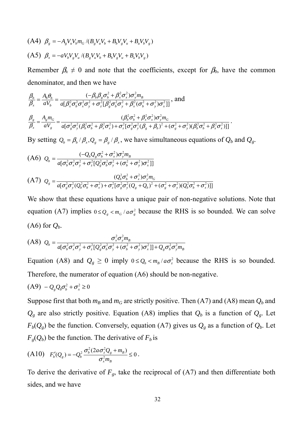(A4) 
$$
\beta_g = -A_g V_u V_b m_G / (B_g V_u V_b + B_b V_g V_u + B_u V_b V_g)
$$
  
\n(A5)  $\beta_x = -a V_b V_g V_u / (B_g V_u V_b + B_b V_g V_u + B_u V_b V_g)$ 

Remember  $\beta_x \neq 0$  and note that the coefficients, except for  $\beta_0$ , have the common denominator, and then we have

$$
\frac{\beta_b}{\beta_x} = \frac{A_b \theta_b}{aV_b} = \frac{(-\beta_b \beta_g \sigma_b^2 + \beta_x^2 \sigma_x^2) \sigma_y^2 m_B}{a[\beta_x^2 \sigma_b^2 \sigma_x^2 \sigma_y^2 + \sigma_z^2 [\beta_g^2 \sigma_b^2 \sigma_y^2 + \beta_x^2 (\sigma_b^2 + \sigma_y^2) \sigma_x^2]]}, \text{ and}
$$
\n
$$
\frac{\beta_s}{\beta_x} = \frac{A_s m_G}{aV_s} = \frac{(\beta_b^2 \sigma_b^2 + \beta_x^2 \sigma_y^2) \sigma_y^2 m_G}{a[\sigma_g^2 \sigma_y^2 (\beta_b^2 \sigma_b^2 + \beta_x^2 \sigma_x^2) + \sigma_z^2 [\sigma_g^2 \sigma_y^2 (\beta_g + \beta_b)^2 + (\sigma_g^2 + \sigma_y^2)(\beta_b^2 \sigma_b^2 + \beta_x^2 \sigma_x^2)]]}.
$$

By setting  $Q_b = \beta_b / \beta_x$ ,  $Q_g = \beta_g / \beta_x$ , we have simultaneous equations of  $Q_b$  and  $Q_g$ .

(A6) 
$$
Q_{b} = \frac{(-Q_{b}Q_{g}\sigma_{b}^{2} + \sigma_{x}^{2})\sigma_{y}^{2}m_{B}}{a[\sigma_{b}^{2}\sigma_{x}^{2}\sigma_{y}^{2} + \sigma_{z}^{2}[\Omega_{g}^{2}\sigma_{b}^{2}\sigma_{y}^{2} + (\sigma_{b}^{2} + \sigma_{y}^{2})\sigma_{x}^{2}]]}
$$
  
(A7) 
$$
Q_{g} = \frac{(Q_{b}^{2}\sigma_{b}^{2} + \sigma_{x}^{2})\sigma_{y}^{2}m_{G}}{a[\sigma_{g}^{2}\sigma_{y}^{2}(Q_{b}^{2}\sigma_{b}^{2} + \sigma_{x}^{2}) + \sigma_{z}^{2}[\sigma_{g}^{2}\sigma_{y}^{2}(Q_{g} + Q_{b})^{2} + (\sigma_{g}^{2} + \sigma_{y}^{2})(Q_{b}^{2}\sigma_{b}^{2} + \sigma_{x}^{2})]]}
$$

We show that these equations have a unique pair of non-negative solutions. Note that equation (A7) implies  $0 \le Q_{g} < m_{G}/a\sigma_{g}^{2}$  because the RHS is so bounded. We can solve  $(A6)$  for  $Q_b$ .

$$
(A8) \tQ_b = \frac{\sigma_x^2 \sigma_y^2 m_B}{a[\sigma_b^2 \sigma_x^2 \sigma_y^2 + \sigma_z^2 [Q_g^2 \sigma_b^2 \sigma_y^2 + (\sigma_b^2 + \sigma_y^2) \sigma_x^2]] + Q_g \sigma_b^2 \sigma_y^2 m_B}
$$

Equation (A8) and  $Q_g \ge 0$  imply  $0 \le Q_b < m_B / a\sigma_z^2$  because the RHS is so bounded. Therefore, the numerator of equation (A6) should be non-negative.

$$
(A9) - Q_{g}Q_{b}\sigma_{b}^{2} + \sigma_{x}^{2} \ge 0
$$

Suppose first that both  $m_B$  and  $m_G$  are strictly positive. Then (A7) and (A8) mean  $Q_b$  and  $Q_g$  are also strictly positive. Equation (A8) implies that  $Q_b$  is a function of  $Q_g$ . Let  $F_b(Q_g)$  be the function. Conversely, equation (A7) gives us  $Q_g$  as a function of  $Q_b$ . Let  $F_g(Q_b)$  be the function. The derivative of  $F_b$  is

(A10) 
$$
F'_{b}(Q_{g}) = -Q_{b}^{2} \frac{\sigma_{b}^{2} (2a\sigma_{z}^{2}Q_{g} + m_{B})}{\sigma_{x}^{2}m_{B}} \le 0.
$$

To derive the derivative of  $F_g$ , take the reciprocal of  $(A7)$  and then differentiate both sides, and we have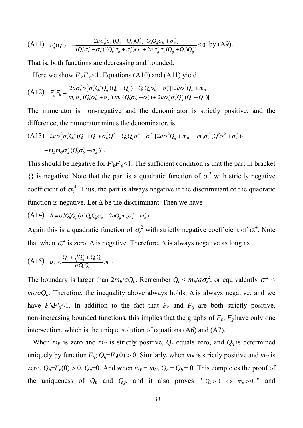(A11) 
$$
F'_{g}(Q_{b}) = -\frac{2a\sigma_{g}^{2}\sigma_{z}^{2}(Q_{g} + Q_{b})Q_{g}^{2}[-Q_{b}Q_{g}\sigma_{b}^{2} + \sigma_{x}^{2}]}{(Q_{b}^{2}\sigma_{b}^{2} + \sigma_{x}^{2})[(Q_{b}^{2}\sigma_{b}^{2} + \sigma_{x}^{2})m_{G} + 2a\sigma_{g}^{2}\sigma_{z}^{2}(Q_{g} + Q_{b})Q_{g}^{2}]} \leq 0 \text{ by (A9)}.
$$

That is, both functions are decreasing and bounded.

Here we show  $F'_bF'_g$ <1. Equations (A10) and (A11) yield

$$
(A12) \tF'_{g}F'_{b} = \frac{2a\sigma_{b}^{2}\sigma_{g}^{2}\sigma_{z}^{2}Q_{b}^{2}Q_{g} (Q_{b} + Q_{g})[-Q_{b}Q_{g}\sigma_{b}^{2} + \sigma_{x}^{2}][2a\sigma_{z}^{2}Q_{g} + m_{B}]}{m_{B}\sigma_{x}^{2}(Q_{b}^{2}\sigma_{b}^{2} + \sigma_{x}^{2})[m_{G}(Q_{b}^{2}\sigma_{b}^{2} + \sigma_{x}^{2}) + 2a\sigma_{g}^{2}\sigma_{z}^{2}Q_{g}^{2}(Q_{b} + Q_{g})]}.
$$

The numerator is non-negative and the denominator is strictly positive, and the difference, the numerator minus the denominator, is

(A13) 
$$
2a\sigma_g^2\sigma_z^2Q_g^2(Q_b+Q_g)\{\sigma_b^2Q_b^2[-Q_bQ_g\sigma_b^2+\sigma_x^2][2a\sigma_z^2Q_g+m_B]-m_B\sigma_x^2(Q_b^2\sigma_b^2+\sigma_x^2)\}
$$
  
 $-m_Bm_G\sigma_x^2(Q_b^2\sigma_b^2+\sigma_x^2)^2$ .

This should be negative for  $F'_bF'_g<1$ . The sufficient condition is that the part in bracket  $\{\}\$ is negative. Note that the part is a quadratic function of  $\sigma_x^2$  with strictly negative coefficient of  $\sigma_{x}^{4}$ . Thus, the part is always negative if the discriminant of the quadratic function is negative. Let  $\Delta$  be the discriminant. Then we have

$$
(A14) \quad \Delta = \sigma_b^4 Q_b^3 Q_g (a^2 Q_b Q_g \sigma_z^4 - 2a Q_g m_B \sigma_z^2 - m_B^2).
$$

Again this is a quadratic function of  $\sigma_z^2$  with strictly negative coefficient of  $\sigma_z^4$ . Note that when  $\sigma_z^2$  is zero,  $\Delta$  is negative. Therefore,  $\Delta$  is always negative as long as

$$
(A15) \quad \sigma_z^2 < \frac{Q_s + \sqrt{Q_s^2 + Q_b Q_s}}{a Q_b Q_s} m_B.
$$

The boundary is larger than  $2m_B/aQ_b$ . Remember  $Q_b < m_B/a\sigma_z^2$ , or equivalently  $\sigma_z^2 <$  $m_B/aQ_b$ . Therefore, the inequality above always holds,  $\Delta$  is always negative, and we have  $F'_bF'_g<1$ . In addition to the fact that  $F_b$  and  $F_g$  are both strictly positive, non-increasing bounded functions, this implies that the graphs of  $F_b$ ,  $F_g$  have only one intersection, which is the unique solution of equations (A6) and (A7).

When  $m_B$  is zero and  $m_G$  is strictly positive,  $Q_b$  equals zero, and  $Q_g$  is determined uniquely by function  $F_g$ ;  $Q_g = F_g(0) > 0$ . Similarly, when  $m_B$  is strictly positive and  $m_G$  is zero,  $Q_b = F_b(0) > 0$ ,  $Q_g = 0$ . And when  $m_B = m_G$ ,  $Q_g = Q_b = 0$ . This completes the proof of the uniqueness of  $Q_b$  and  $Q_g$ , and it also proves "  $Q_b > 0 \Leftrightarrow m_B > 0$  " and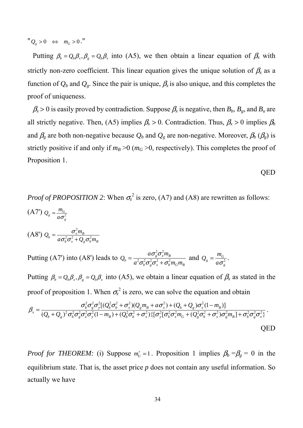$"Q_{g} > 0 \Leftrightarrow m_{G} > 0$ ."

Putting  $\beta_b = Q_b \beta_x$ ,  $\beta_g = Q_b \beta_x$  into (A5), we then obtain a linear equation of  $\beta_x$  with strictly non-zero coefficient. This linear equation gives the unique solution of  $\beta_x$  as a function of  $Q_b$  and  $Q_g$ . Since the pair is unique,  $\beta_x$  is also unique, and this completes the proof of uniqueness.

 $\beta_x > 0$  is easily proved by contradiction. Suppose  $\beta_x$  is negative, then  $B_b$ ,  $B_g$ , and  $B_u$  are all strictly negative. Then, (A5) implies  $\beta_x > 0$ . Contradiction. Thus,  $\beta_x > 0$  implies  $\beta_b$ and  $\beta_g$  are both non-negative because  $Q_b$  and  $Q_g$  are non-negative. Moreover,  $\beta_b$  ( $\beta_g$ ) is strictly positive if and only if  $m_B > 0$  ( $m_G > 0$ , respectively). This completes the proof of Proposition 1.

QED

*Proof of PROPOSITION 2*: When  $\sigma_z^2$  is zero, (A7) and (A8) are rewritten as follows: (A7')  $Q_{g} = \frac{m_{G}}{a\sigma_{g}^{2}}$  $g = \frac{m_G}{a\sigma}$  $Q_{\rm g} = \frac{m_{\rm g}}{a\sigma}$ (A8')  $Q_b = \frac{\sigma_x^2 m_B}{a \sigma_b^2 \sigma_x^2 + Q_o \sigma_b^2 m}$  $=\frac{\sigma_x^2}{a\sigma_b^2\sigma_x^2+}$ 

Putting (A7') into (A8') leads to  $b \mathbf{v}_g \mathbf{v}_x + \mathbf{v}_b \mathbf{m}_G \mathbf{m}_B$  $g \mathbf{v}_x m_B$  $b = a^2 \sigma_b^2 \sigma_c^2 \sigma_x^2 + \sigma_b^2 m_G m$  $a\sigma_x^2\sigma_x^2m$  $Q_b = \frac{a_0 e_g^2 c_x m_B^2}{a_0^2 \pi^2 \pi^2 (m^2 + \sigma^2)}$  $^{2} -^{2}$  $\sigma_{\iota}\sigma_{\iota}\sigma_{\iota}+\sigma$  $=\frac{a\sigma_g^2\sigma_x^2 m_B}{a^2\sigma_b^2\sigma_g^2\sigma_x^2 + \sigma_b^2 m_G m_B}$  and  $Q_g = \frac{m_G}{a\sigma_g^2}$  $g_g = \frac{m_G}{a\sigma}$  $Q_{g} = \frac{m_{G}}{a\sigma^{2}}$ .

 $b^{\mathbf{U}_x}$   $\mathbf{U}_g \mathbf{U}_b$ <sup> $H$ </sup> $B$ 

 $\sigma \tilde{c} \sigma \tilde{c} + U \sigma$ 

Putting  $\beta_b = Q_b \beta_x$ ,  $\beta_g = Q_b \beta_x$  into (A5), we obtain a linear equation of  $\beta_x$  as stated in the proof of proposition 1. When  $\sigma_z^2$  is zero, we can solve the equation and obtain

$$
\beta_{x} = \frac{\sigma_{b}^{2} \sigma_{g}^{2} \sigma_{y}^{2} [ (Q_{b}^{2} \sigma_{b}^{2} + \sigma_{x}^{2}) (Q_{g} m_{B} + a \sigma_{x}^{2}) + (Q_{b} + Q_{g}) \sigma_{x}^{2} (1 - m_{B}) ]}{(Q_{b} + Q_{g})^{2} \sigma_{b}^{2} \sigma_{g}^{2} \sigma_{x}^{2} \sigma_{y}^{2} (1 - m_{B}) + (Q_{b}^{2} \sigma_{b}^{2} + \sigma_{x}^{2}) \{ [\sigma_{y}^{2} [\sigma_{b}^{2} \sigma_{x}^{2} m_{G} + (Q_{g}^{2} \sigma_{b}^{2} + \sigma_{x}^{2}) \sigma_{g}^{2} m_{B}] + \sigma_{b}^{2} \sigma_{g}^{2} \sigma_{x}^{2} \}}.
$$
 QED

*Proof for THEOREM:* (i) Suppose  $m_U^* = 1$ . Proposition 1 implies  $\beta_b = \beta_g = 0$  in the equilibrium state. That is, the asset price *p* does not contain any useful information. So actually we have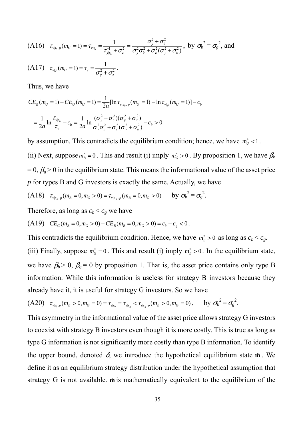(A16) 
$$
\tau_{v|s_b, p}(m_U = 1) = \tau_{v|s_b} = \frac{1}{\tau_{v|s_b}^1 + \sigma_z^2} = \frac{\sigma_y^2 + \sigma_b^2}{\sigma_y^2 \sigma_b^2 + \sigma_z^2 (\sigma_y^2 + \sigma_b^2)},
$$
 by  $\sigma_b^2 = \sigma_g^2$ , and  
(A17)  $\tau_{v|p}(m_U = 1) = \tau_v = \frac{1}{\sigma_y^2 + \sigma_z^2}.$ 

Thus, we have

$$
CE_B(m_U = 1) - CE_U(m_U = 1) = \frac{1}{2a} [\ln \tau_{v|s_b, p}(m_U = 1) - \ln \tau_{v|p}(m_U = 1)] - c_b
$$
  
=  $\frac{1}{2a} \ln \frac{\tau_{v|s_b}}{\tau_v} - c_b = \frac{1}{2a} \ln \frac{(\sigma_y^2 + \sigma_b^2)(\sigma_y^2 + \sigma_z^2)}{\sigma_y^2 \sigma_b^2 + \sigma_z^2 (\sigma_y^2 + \sigma_b^2)} - c_b > 0$ 

by assumption. This contradicts the equilibrium condition; hence, we have  $m_U^*$  <1.

(ii) Next, suppose  $m_B^* = 0$ . This and result (i) imply  $m_G^* > 0$ . By proposition 1, we have  $\beta_b$  $= 0$ ,  $\beta_g > 0$  in the equilibrium state. This means the informational value of the asset price *p* for types B and G investors is exactly the same. Actually, we have

(A18) 
$$
\tau_{v|s_b, p}(m_B = 0, m_G > 0) = \tau_{v|s_g, p}(m_B = 0, m_G > 0)
$$
 by  $\sigma_b^2 = \sigma_g^2$ .

Therefore, as long as  $c_b < c_g$  we have

(A19) 
$$
CE_G(m_B = 0, m_G > 0) - CE_B(m_B = 0, m_G > 0) = c_b - c_g < 0.
$$

This contradicts the equilibrium condition. Hence, we have  $m_B^* > 0$  as long as  $c_b < c_g$ .

(iii) Finally, suppose  $m_G^* = 0$ . This and result (i) imply  $m_B^* > 0$ . In the equilibrium state, we have  $\beta_b > 0$ ,  $\beta_g = 0$  by proposition 1. That is, the asset price contains only type B information. While this information is useless for strategy B investors because they already have it, it is useful for strategy G investors. So we have

$$
(A20) \quad \tau_{\nu_{\vert s_b, p}}(m_B > 0, m_G = 0) = \tau_{\nu_{\vert s_b}} = \tau_{\nu_{\vert s_g}} < \tau_{\nu_{\vert s_g, p}}(m_B > 0, m_G = 0), \quad \text{by } \sigma_b^2 = \sigma_g^2.
$$

This asymmetry in the informational value of the asset price allows strategy G investors to coexist with strategy B investors even though it is more costly. This is true as long as type G information is not significantly more costly than type B information. To identify the upper bound, denoted  $\delta$ , we introduce the hypothetical equilibrium state  $\hat{\mathbf{m}}$ . We define it as an equilibrium strategy distribution under the hypothetical assumption that strategy G is not available.  $\hat{\mathbf{m}}$  is mathematically equivalent to the equilibrium of the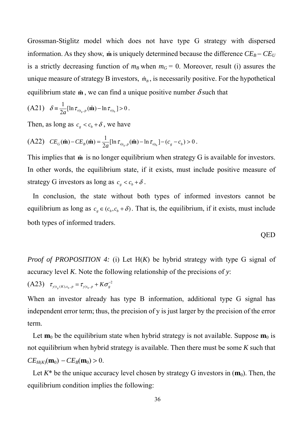Grossman-Stiglitz model which does not have type G strategy with dispersed information. As they show,  $\hat{\bf{m}}$  is uniquely determined because the difference  $CE_B - CE_U$ is a strictly decreasing function of  $m_B$  when  $m_G = 0$ . Moreover, result (i) assures the unique measure of strategy B investors,  $\hat{m}_B$ , is necessarily positive. For the hypothetical equilibrium state  $\hat{\mathbf{m}}$ , we can find a unique positive number  $\delta$  such that

(A21) 
$$
\delta = \frac{1}{2a} [\ln \tau_{v|_{S_g,p}}(\hat{\mathbf{m}}) - \ln \tau_{v|_{S_b}}] > 0.
$$

Then, as long as  $c_g < c_b + \delta$ , we have

(A22) 
$$
CE_G(\hat{\mathbf{m}}) - CE_B(\hat{\mathbf{m}}) = \frac{1}{2a} [\ln \tau_{v|_{S_g,p}}(\hat{\mathbf{m}}) - \ln \tau_{v|_{S_b}}] - (c_g - c_b) > 0.
$$

This implies that  $\hat{\mathbf{m}}$  is no longer equilibrium when strategy G is available for investors. In other words, the equilibrium state, if it exists, must include positive measure of strategy G investors as long as  $c_g < c_b + \delta$ .

 In conclusion, the state without both types of informed investors cannot be equilibrium as long as  $c_e \in (c_b, c_b + \delta)$ . That is, the equilibrium, if it exists, must include both types of informed traders.

$$
QED
$$

*Proof of PROPOSITION 4:* (i) Let H(*K*) be hybrid strategy with type G signal of accuracy level *K*. Note the following relationship of the precisions of *y*:

$$
(A23) \quad \tau_{y|s_g(K), s_b, p} = \tau_{y|s_b, p} + K \sigma_g^{-2}
$$

When an investor already has type B information, additional type G signal has independent error term; thus, the precision of y is just larger by the precision of the error term.

Let  $\mathbf{m}_0$  be the equilibrium state when hybrid strategy is not available. Suppose  $\mathbf{m}_0$  is not equilibrium when hybrid strategy is available. Then there must be some *K* such that  $CE_{H(K)}(\mathbf{m}_0) - CE_B(\mathbf{m}_0) > 0.$ 

Let  $K^*$  be the unique accuracy level chosen by strategy G investors in  $(m_0)$ . Then, the equilibrium condition implies the following: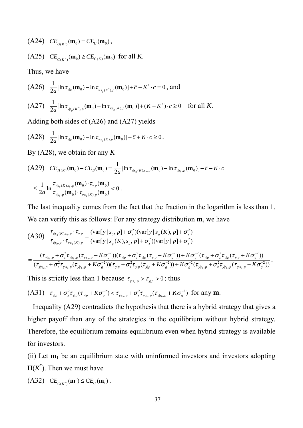$(CA24)$   $CE_{G(K^*)}(\mathbf{m}_0) = CE_U(\mathbf{m}_0)$ , (A25)  $CE_{G(K^*)}(\mathbf{m}_0) \geq CE_{G(K)}(\mathbf{m}_0)$  for all *K*.

Thus, we have

$$
\begin{aligned} \text{(A26)} \quad & \frac{1}{2a} [\ln \tau_{\mathbf{v}_{|p}}(\mathbf{m}_0) - \ln \tau_{\mathbf{v}_{|s_s(K^*)},p}(\mathbf{m}_0)] + \bar{c} + K^* \cdot c = 0 \text{, and} \\ \text{(A27)} \quad & \frac{1}{2a} [\ln \tau_{\mathbf{v}_{|s_s(K^*)},p}(\mathbf{m}_0) - \ln \tau_{\mathbf{v}_{|s_s(K),p}}(\mathbf{m}_0)] + (K - K^*) \cdot c \ge 0 \quad \text{for all } K. \end{aligned}
$$

Adding both sides of (A26) and (A27) yields

$$
(A28) \quad \frac{1}{2a}[\ln \tau_{v|p}(\mathbf{m}_0) - \ln \tau_{v|s_g(K),p}(\mathbf{m}_0)] + \bar{c} + K \cdot c \ge 0.
$$

By (A28), we obtain for any *K*

$$
(A29) \quad CE_{H(K)}(\mathbf{m}_0) - CE_B(\mathbf{m}_0) = \frac{1}{2a} [\ln \tau_{\nu|_{S_g}(K),S_b,p}(\mathbf{m}_0) - \ln \tau_{\nu|_{S_b,p}}(\mathbf{m}_0)] - \bar{c} - K \cdot c
$$
  

$$
\leq \frac{1}{2a} \ln \frac{\tau_{\nu|_{S_g}(K),S_b,p}(\mathbf{m}_0) \cdot \tau_{\nu|_{P}}(\mathbf{m}_0)}{\tau_{\nu|_{S_b,p}}(\mathbf{m}_0) \cdot \tau_{\nu|_{S_g}(K),p}(\mathbf{m}_0)} < 0.
$$

The last inequality comes from the fact that the fraction in the logarithm is less than 1. We can verify this as follows: For any strategy distribution **m**, we have

$$
(A30) \frac{\tau_{\nu|s_{g}(K),s_{b},p} \cdot \tau_{\nu|p}}{\tau_{\nu|s_{b},p} \cdot \tau_{\nu|s_{g}(K),p}} = \frac{(\text{var}[y \mid s_{b}, p] + \sigma_{z}^{2})(\text{var}[y \mid s_{g}(K), p] + \sigma_{z}^{2})}{(\text{var}[y \mid s_{g}(K), s_{b}, p] + \sigma_{z}^{2})(\text{var}[y \mid p] + \sigma_{z}^{2})}
$$
  

$$
= \frac{(\tau_{\nu|s_{b},p} + \sigma_{z}^{2}\tau_{\nu|s_{b},p}(\tau_{\nu|s_{b},p} + K\sigma_{g}^{-2}))(\tau_{\nu|p} + \sigma_{z}^{2}\tau_{\nu|p}(\tau_{\nu|p} + K\sigma_{g}^{-2})) + K\sigma_{g}^{-2}(\tau_{\nu|p} + \sigma_{z}^{2}\tau_{\nu|p}(\tau_{\nu|p} + K\sigma_{g}^{-2}))}{(\tau_{\nu|s_{b},p} + \sigma_{z}^{2}\tau_{\nu|s_{b},p}(\tau_{\nu|s_{b},p} + K\sigma_{g}^{-2}))(\tau_{\nu|p} + \sigma_{z}^{2}\tau_{\nu|p}(\tau_{\nu|p} + K\sigma_{g}^{-2})) + K\sigma_{g}^{-2}(\tau_{\nu|s_{b},p} + \sigma_{z}^{2}\tau_{\nu|s_{b},p}(\tau_{\nu|s_{b},p} + K\sigma_{g}^{-2}))}.
$$

This is strictly less than 1 because  $\tau_{y|s_h, p} > \tau_{y|p} > 0$ ; thus

(A31) 
$$
\tau_{y|p} + \sigma_z^2 \tau_{y|p} (\tau_{y|p} + K \sigma_s^{-2}) < \tau_{y|s_b, p} + \sigma_z^2 \tau_{y|s_b, p} (\tau_{y|s_b, p} + K \sigma_s^{-2})
$$
 for any **m**.

 Inequality (A29) contradicts the hypothesis that there is a hybrid strategy that gives a higher payoff than any of the strategies in the equilibrium without hybrid strategy. Therefore, the equilibrium remains equilibrium even when hybrid strategy is available for investors.

(ii) Let  $\mathbf{m}_1$  be an equilibrium state with uninformed investors and investors adopting  $H(K^*)$ . Then we must have

 $(CA32)$   $CE_{G(K^*)}(\mathbf{m}_1) \leq CE_U(\mathbf{m}_1)$ .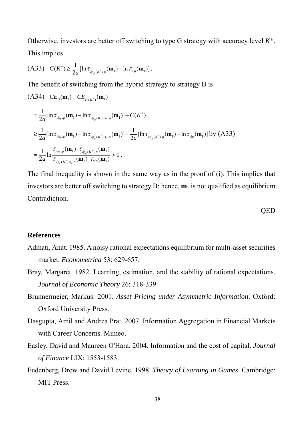Otherwise, investors are better off switching to type G strategy with accuracy level *K*\*. This implies

$$
(A33) \quad C(K^*) \geq \frac{1}{2a} [\ln \tau_{v|s_s(K^*),p}(\mathbf{m}_1) - \ln \tau_{v|p}(\mathbf{m}_1)].
$$

The benefit of switching from the hybrid strategy to strategy B is

$$
(A34) \ CE_{B}(\mathbf{m}_{1}) - CE_{H(K^{*})}(\mathbf{m}_{1})
$$
  
\n
$$
= \frac{1}{2a} [\ln \tau_{v|s_{b},p}(\mathbf{m}_{1}) - \ln \tau_{v|s_{g}(K^{*}),s_{b},p}(\mathbf{m}_{1})] + C(K^{*})
$$
  
\n
$$
\geq \frac{1}{2a} [\ln \tau_{v|s_{b},p}(\mathbf{m}_{1}) - \ln \tau_{v|s_{g}(K^{*}),s_{b},p}(\mathbf{m}_{1})] + \frac{1}{2a} [\ln \tau_{v|s_{g}(K^{*}),p}(\mathbf{m}_{1}) - \ln \tau_{v|p}(\mathbf{m}_{1})] \text{ by (A33)}
$$
  
\n
$$
= \frac{1}{2a} \ln \frac{\tau_{v|s_{b},p}(\mathbf{m}_{1}) \cdot \tau_{v|s_{g}(K^{*}),p}(\mathbf{m}_{1})}{\tau_{v|s_{g}(K^{*}),s_{b},p}(\mathbf{m}_{1}) \cdot \tau_{v|p}(\mathbf{m}_{1})} > 0.
$$

The final inequality is shown in the same way as in the proof of (i). This implies that investors are better off switching to strategy B; hence,  $\mathbf{m}_1$  is not qualified as equilibrium. Contradiction.

**OED** 

#### **References**

- Admati, Anat. 1985. A noisy rational expectations equilibrium for multi-asset securities market. *Econometrica* 53: 629-657.
- Bray, Margaret. 1982. Learning, estimation, and the stability of rational expectations. *Journal of Economic Theory* 26: 318-339.
- Brunnermeier, Markus. 2001. *Asset Pricing under Asymmetric Information*. Oxford: Oxford University Press.
- Dasgupta, Amil and Andrea Prat. 2007. Information Aggregation in Financial Markets with Career Concerns. Mimeo.
- Easley, David and Maureen O'Hara. 2004. Information and the cost of capital. *Journal of Finance* LIX: 1553-1583.
- Fudenberg, Drew and David Levine. 1998. *Theory of Learning in Games*. Cambridge: MIT Press.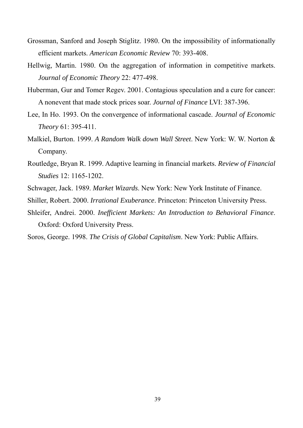- Grossman, Sanford and Joseph Stiglitz. 1980. On the impossibility of informationally efficient markets. *American Economic Review* 70: 393-408.
- Hellwig, Martin. 1980. On the aggregation of information in competitive markets. *Journal of Economic Theory* 22: 477-498.
- Huberman, Gur and Tomer Regev. 2001. Contagious speculation and a cure for cancer: A nonevent that made stock prices soar. *Journal of Finance* LVI: 387-396.
- Lee, In Ho. 1993. On the convergence of informational cascade. *Journal of Economic Theory* 61: 395-411.
- Malkiel, Burton. 1999. *A Random Walk down Wall Street*. New York: W. W. Norton & Company.
- Routledge, Bryan R. 1999. Adaptive learning in financial markets. *Review of Financial Studies* 12: 1165-1202.
- Schwager, Jack. 1989. *Market Wizards*. New York: New York Institute of Finance.
- Shiller, Robert. 2000. *Irrational Exuberance*. Princeton: Princeton University Press.
- Shleifer, Andrei. 2000. *Inefficient Markets: An Introduction to Behavioral Finance*. Oxford: Oxford University Press.
- Soros, George. 1998. *The Crisis of Global Capitalism*. New York: Public Affairs.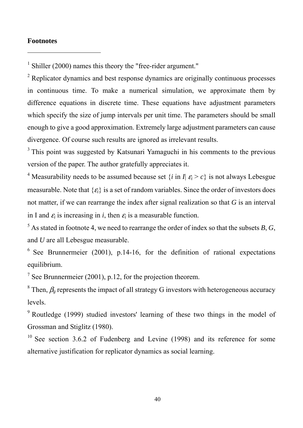#### **Footnotes**

-

<sup>1</sup> Shiller (2000) names this theory the "free-rider argument."

<sup>2</sup> Replicator dynamics and best response dynamics are originally continuous processes in continuous time. To make a numerical simulation, we approximate them by difference equations in discrete time. These equations have adjustment parameters which specify the size of jump intervals per unit time. The parameters should be small enough to give a good approximation. Extremely large adjustment parameters can cause divergence. Of course such results are ignored as irrelevant results.

<sup>3</sup> This point was suggested by Katsunari Yamaguchi in his comments to the previous version of the paper. The author gratefully appreciates it.

<sup>4</sup> Measurability needs to be assumed because set  $\{i \text{ in } I | \varepsilon_i > c\}$  is not always Lebesgue measurable. Note that  $\{\varepsilon_i\}$  is a set of random variables. Since the order of investors does not matter, if we can rearrange the index after signal realization so that *G* is an interval in I and  $\varepsilon_i$  is increasing in *i*, then  $\varepsilon_i$  is a measurable function.

 $^5$  As stated in footnote 4, we need to rearrange the order of index so that the subsets *B*, *G*, and *U* are all Lebesgue measurable.

 $6$  See Brunnermeier (2001), p.14-16, for the definition of rational expectations equilibrium.

<sup>7</sup> See Brunnermeier (2001), p.12, for the projection theorem.

<sup>8</sup> Then,  $\beta_g$  represents the impact of all strategy G investors with heterogeneous accuracy levels.

<sup>9</sup> Routledge (1999) studied investors' learning of these two things in the model of Grossman and Stiglitz (1980).

 $10$  See section 3.6.2 of Fudenberg and Levine (1998) and its reference for some alternative justification for replicator dynamics as social learning.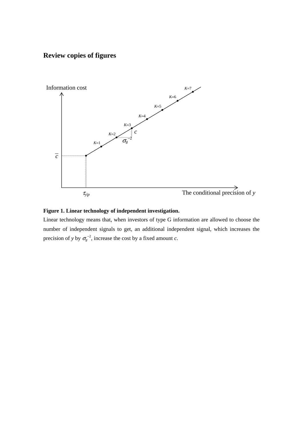# **Review copies of figures**





Linear technology means that, when investors of type G information are allowed to choose the number of independent signals to get, an additional independent signal, which increases the precision of *y* by  $\sigma_g^{-2}$ , increase the cost by a fixed amount *c*.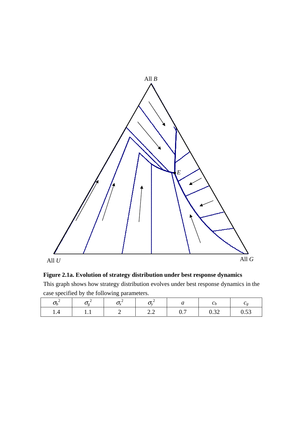

**Figure 2.1a. Evolution of strategy distribution under best response dynamics** 

This graph shows how strategy distribution evolves under best response dynamics in the case specified by the following parameters.

| Uh  | $\boldsymbol{\sigma}$ | $\boldsymbol{\mathcal{N}}$ | $\boldsymbol{\nu}$                                  | u                                | U r                                 | ◡◠              |
|-----|-----------------------|----------------------------|-----------------------------------------------------|----------------------------------|-------------------------------------|-----------------|
| 1.4 | .                     |                            | $\overline{\phantom{m}}\cdot\overline{\phantom{m}}$ | $\overline{ }$<br>$\mathsf{u}$ . | $\Omega$<br>$\mathsf{u}.\mathsf{v}$ | $\sim$<br>v.v., |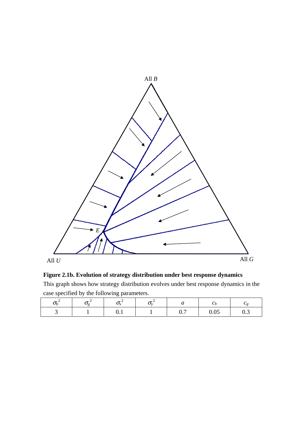

**Figure 2.1b. Evolution of strategy distribution under best response dynamics** 

This graph shows how strategy distribution evolves under best response dynamics in the case specified by the following parameters.

| $\bm{\nu}_L$ | $\bm{\bm{\cup}}\sigma$ | $\sim$                        | $\mathcal{L}$ | $\bm{\mathsf{u}}$               | <b>Ur</b>                        | ◡◠                            |
|--------------|------------------------|-------------------------------|---------------|---------------------------------|----------------------------------|-------------------------------|
|              |                        | $\mathbf{v} \cdot \mathbf{r}$ |               | $\overline{\phantom{0}}$<br>∪.7 | $\Omega$ $\Omega$ $\sim$<br>U.UJ | $\mathsf{v} \cdot \mathsf{v}$ |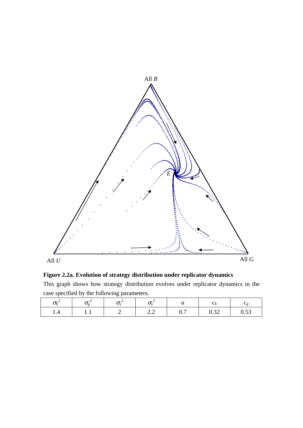

**Figure 2.2a. Evolution of strategy distribution under replicator dynamics** 

This graph shows how strategy distribution evolves under replicator dynamics in the case specified by the following parameters.

| Uh  | $\boldsymbol{\sigma}$ | $\boldsymbol{\mathcal{N}}$ | $\boldsymbol{\nu}$                                  | u                                | U r                                 | ◡◠              |
|-----|-----------------------|----------------------------|-----------------------------------------------------|----------------------------------|-------------------------------------|-----------------|
| 1.4 | .                     |                            | $\overline{\phantom{m}}\cdot\overline{\phantom{m}}$ | $\overline{ }$<br>$\mathsf{u}$ . | $\Omega$<br>$\mathsf{u}.\mathsf{v}$ | $\sim$<br>v.v., |